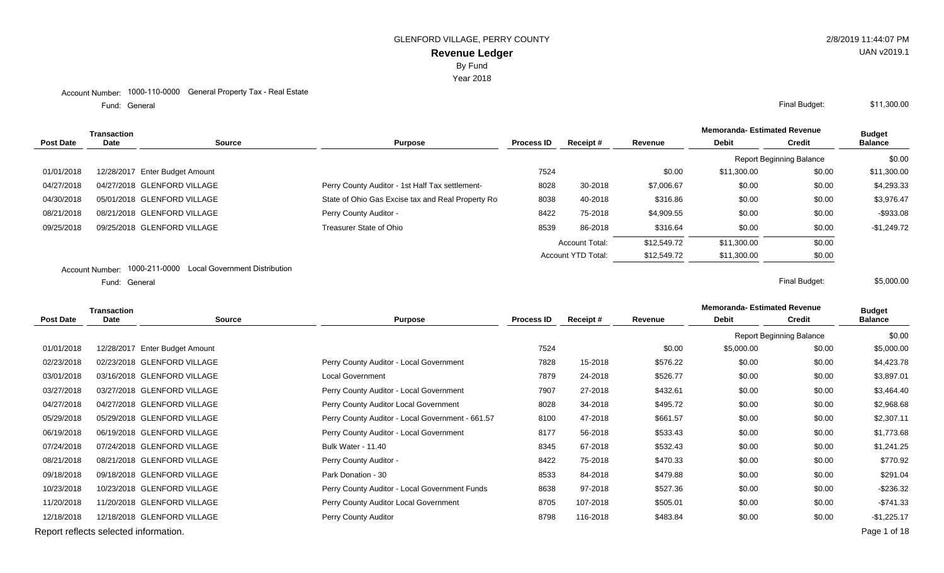Year 2018

#### Account Number: 1000-110-0000 General Property Tax - Real Estate

General Final Budget: Fund: General

|                  | Transaction |                                |                                                   |                   |                       |             | <b>Memoranda-Estimated Revenue</b> |                                 | <b>Budget</b>  |
|------------------|-------------|--------------------------------|---------------------------------------------------|-------------------|-----------------------|-------------|------------------------------------|---------------------------------|----------------|
| <b>Post Date</b> | <b>Date</b> | <b>Source</b>                  | <b>Purpose</b>                                    | <b>Process ID</b> | Receipt#              | Revenue     | <b>Debit</b>                       | <b>Credit</b>                   | <b>Balance</b> |
|                  |             |                                |                                                   |                   |                       |             |                                    | <b>Report Beginning Balance</b> | \$0.00         |
| 01/01/2018       |             | 12/28/2017 Enter Budget Amount |                                                   | 7524              |                       | \$0.00      | \$11,300.00                        | \$0.00                          | \$11,300.00    |
| 04/27/2018       |             | 04/27/2018 GLENFORD VILLAGE    | Perry County Auditor - 1st Half Tax settlement-   | 8028              | 30-2018               | \$7,006.67  | \$0.00                             | \$0.00                          | \$4,293.33     |
| 04/30/2018       |             | 05/01/2018 GLENFORD VILLAGE    | State of Ohio Gas Excise tax and Real Property Ro | 8038              | 40-2018               | \$316.86    | \$0.00                             | \$0.00                          | \$3,976.47     |
| 08/21/2018       |             | 08/21/2018 GLENFORD VILLAGE    | Perry County Auditor -                            | 8422              | 75-2018               | \$4,909.55  | \$0.00                             | \$0.00                          | $-$933.08$     |
| 09/25/2018       |             | 09/25/2018 GLENFORD VILLAGE    | Treasurer State of Ohio                           | 8539              | 86-2018               | \$316.64    | \$0.00                             | \$0.00                          | $-$1,249.72$   |
|                  |             |                                |                                                   |                   | <b>Account Total:</b> | \$12,549.72 | \$11,300.00                        | \$0.00                          |                |
|                  |             |                                |                                                   |                   | Account YTD Total:    | \$12,549.72 | \$11,300.00                        | \$0.00                          |                |
|                  |             |                                |                                                   |                   |                       |             |                                    |                                 |                |

Account Number: 1000-211-0000 Local Government Distribution

General Final Budget: Fund: General

\$5,000.00

**Memoranda- Estimated Revenue**

| <b>Transaction</b>                    |             |                                |                                                  |                   |          |          | Melliolanda- Esumated Revenue |                                 | <b>Budget</b>  |
|---------------------------------------|-------------|--------------------------------|--------------------------------------------------|-------------------|----------|----------|-------------------------------|---------------------------------|----------------|
| <b>Post Date</b>                      | <b>Date</b> | <b>Source</b>                  | <b>Purpose</b>                                   | <b>Process ID</b> | Receipt# | Revenue  | <b>Debit</b>                  | <b>Credit</b>                   | <b>Balance</b> |
|                                       |             |                                |                                                  |                   |          |          |                               | <b>Report Beginning Balance</b> | \$0.00         |
| 01/01/2018                            |             | 12/28/2017 Enter Budget Amount |                                                  | 7524              |          | \$0.00   | \$5,000.00                    | \$0.00                          | \$5,000.00     |
| 02/23/2018                            |             | 02/23/2018 GLENFORD VILLAGE    | Perry County Auditor - Local Government          | 7828              | 15-2018  | \$576.22 | \$0.00                        | \$0.00                          | \$4,423.78     |
| 03/01/2018                            |             | 03/16/2018 GLENFORD VILLAGE    | <b>Local Government</b>                          | 7879              | 24-2018  | \$526.77 | \$0.00                        | \$0.00                          | \$3,897.01     |
| 03/27/2018                            |             | 03/27/2018 GLENFORD VILLAGE    | Perry County Auditor - Local Government          | 7907              | 27-2018  | \$432.61 | \$0.00                        | \$0.00                          | \$3,464.40     |
| 04/27/2018                            |             | 04/27/2018 GLENFORD VILLAGE    | Perry County Auditor Local Government            | 8028              | 34-2018  | \$495.72 | \$0.00                        | \$0.00                          | \$2,968.68     |
| 05/29/2018                            |             | 05/29/2018 GLENFORD VILLAGE    | Perry County Auditor - Local Government - 661.57 | 8100              | 47-2018  | \$661.57 | \$0.00                        | \$0.00                          | \$2,307.11     |
| 06/19/2018                            |             | 06/19/2018 GLENFORD VILLAGE    | Perry County Auditor - Local Government          | 8177              | 56-2018  | \$533.43 | \$0.00                        | \$0.00                          | \$1,773.68     |
| 07/24/2018                            |             | 07/24/2018 GLENFORD VILLAGE    | Bulk Water - 11.40                               | 8345              | 67-2018  | \$532.43 | \$0.00                        | \$0.00                          | \$1,241.25     |
| 08/21/2018                            |             | 08/21/2018 GLENFORD VILLAGE    | Perry County Auditor -                           | 8422              | 75-2018  | \$470.33 | \$0.00                        | \$0.00                          | \$770.92       |
| 09/18/2018                            |             | 09/18/2018 GLENFORD VILLAGE    | Park Donation - 30                               | 8533              | 84-2018  | \$479.88 | \$0.00                        | \$0.00                          | \$291.04       |
| 10/23/2018                            |             | 10/23/2018 GLENFORD VILLAGE    | Perry County Auditor - Local Government Funds    | 8638              | 97-2018  | \$527.36 | \$0.00                        | \$0.00                          | $-$236.32$     |
| 11/20/2018                            |             | 11/20/2018 GLENFORD VILLAGE    | Perry County Auditor Local Government            | 8705              | 107-2018 | \$505.01 | \$0.00                        | \$0.00                          | $-$741.33$     |
| 12/18/2018                            |             | 12/18/2018 GLENFORD VILLAGE    | Perry County Auditor                             | 8798              | 116-2018 | \$483.84 | \$0.00                        | \$0.00                          | $-$1,225.17$   |
| Report reflects selected information. |             |                                |                                                  |                   |          |          |                               |                                 | Page 1 of 18   |

UAN v2019.1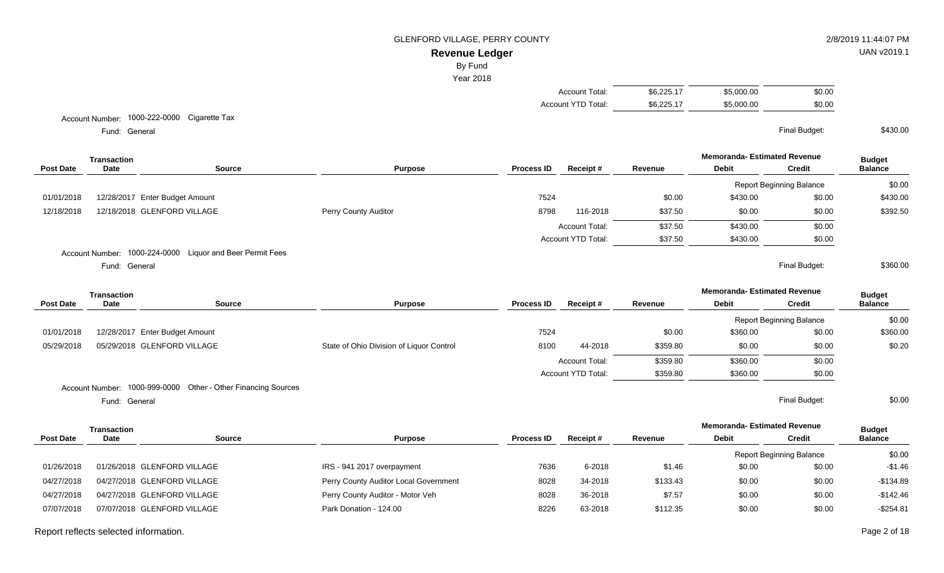# **Revenue Ledger**

By Fund

Year 2018

| Account Total:     | \$6,225.17 | \$5,000.00 | \$0.00 |
|--------------------|------------|------------|--------|
| Account YTD Total: | \$6,225.17 | \$5,000.00 | \$0.00 |

Account Number: 1000-222-0000 Cigarette Tax

General Final Budget: Fund: General

**Memoranda- Estimated Revenue Source Purpose Process ID Receipt # Revenue Debit Transaction Post Date Date Budget Credit Balance** Report Beginning Balance \$0.00 01/01/2018 12/28/2017 Enter Budget Amount 2002 12:00 12/28/2017 Enter Budget Amount 3430.00 \$430.00 \$430.00 \$430.00 12/18/2018 12/18/2018 GLENFORD VILLAGE Perry County Auditor 8798 116-2018 \$37.50 \$0.00 \$0.00 \$392.50 Account Total:  $$37.50$   $$430.00$  \$0.00 Account YTD Total:  $$37.50$   $$430.00$  \$0.00 Account Number: 1000-224-0000 Liquor and Beer Permit Fees General Final Budget: Fund: General \$360.00

|                  | <b>Transaction</b> |                                                               |                                          |                   |                           |          | <b>Memoranda- Estimated Revenue</b> |                                 | <b>Budget</b>  |
|------------------|--------------------|---------------------------------------------------------------|------------------------------------------|-------------------|---------------------------|----------|-------------------------------------|---------------------------------|----------------|
| <b>Post Date</b> | Date               | Source                                                        | <b>Purpose</b>                           | <b>Process ID</b> | Receipt#                  | Revenue  | <b>Debit</b>                        | Credit                          | <b>Balance</b> |
|                  |                    |                                                               |                                          |                   |                           |          |                                     | <b>Report Beginning Balance</b> | \$0.00         |
| 01/01/2018       |                    | 12/28/2017 Enter Budget Amount                                |                                          | 7524              |                           | \$0.00   | \$360.00                            | \$0.00                          | \$360.00       |
| 05/29/2018       |                    | 05/29/2018 GLENFORD VILLAGE                                   | State of Ohio Division of Liquor Control | 8100              | 44-2018                   | \$359.80 | \$0.00                              | \$0.00                          | \$0.20         |
|                  |                    |                                                               |                                          |                   | <b>Account Total:</b>     | \$359.80 | \$360.00                            | \$0.00                          |                |
|                  |                    |                                                               |                                          |                   | <b>Account YTD Total:</b> | \$359.80 | \$360.00                            | \$0.00                          |                |
|                  |                    | Account Number: 1000-999-0000 Other - Other Financing Sources |                                          |                   |                           |          |                                     |                                 |                |
|                  | Fund: General      |                                                               |                                          |                   |                           |          |                                     | Final Budget:                   | \$0.00         |

**Memoranda- Estimated Revenue Source Purpose Process ID Receipt # Revenue Debit Transaction Post Date Date Budget Credit Balance** Report Beginning Balance \$0.00 01/26/2018 01/26/2018 GLENFORD VILLAGE **IDENT ACCORD 1999 IRS - 941 2017 overpayment** 7636 6-2018 \$1.46 \$1.46 \$0.00 \$0.00 \$0.00 \$1.46 04/27/2018 04/27/2018 GLENFORD VILLAGE **Perry County Auditor Local Government** 8028 34-2018 \$133.43 \$0.00 \$0.00 \$133.43 04/27/2018 04/27/2018 GLENFORD VILLAGE **Perry County Auditor - Motor Veh 8028** 36-2018 \$7.57 \$0.00 \$0.00 \$0.00 -\$142.46 07/07/2018 07/07/2018 GLENFORD VILLAGE **Park Donation - 124.00** 8226 83-2018 \$112.35 \$0.00 \$0.00 \$0.00 \$254.81

#### Report reflects selected information. Page 2 of 18

UAN v2019.1

\$430.00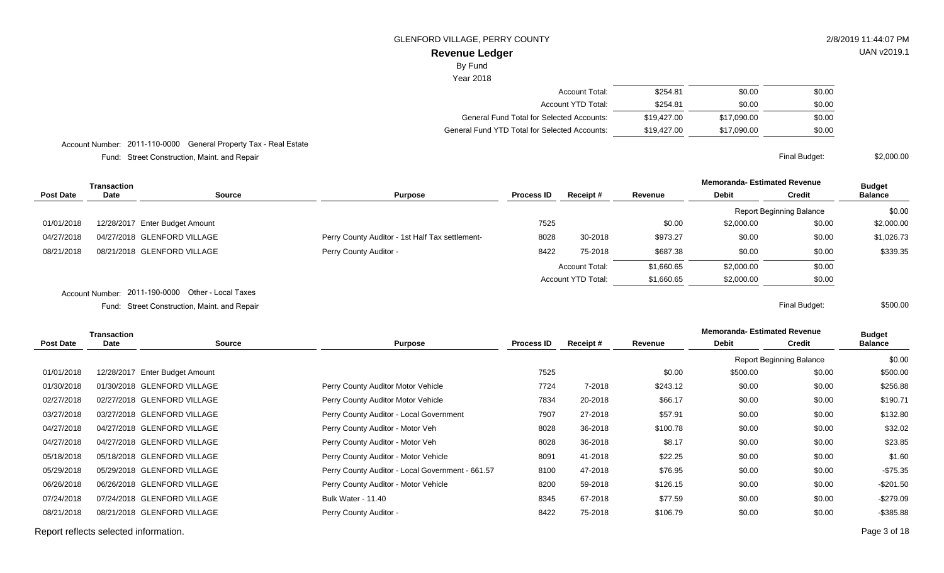# UAN v2019.1

\$2,000.00

\$500.00

**Revenue Ledger** By Fund

Year 2018

| Account Total:                                | \$254.81    | \$0.00      | \$0.00 |
|-----------------------------------------------|-------------|-------------|--------|
| Account YTD Total:                            | \$254.81    | \$0.00      | \$0.00 |
| General Fund Total for Selected Accounts:     | \$19,427,00 | \$17.090.00 | \$0.00 |
| General Fund YTD Total for Selected Accounts: | \$19,427,00 | \$17.090.00 | \$0.00 |
|                                               |             |             |        |

Account Number: 2011-110-0000 General Property Tax - Real Estate

Street Construction, Maint. and Repair Final Budget: Fund:

|                  | <b>Transaction</b>             |               |                                                 |                   |                       |            | <b>Memoranda- Estimated Revenue</b> |                                 | <b>Budget</b>  |
|------------------|--------------------------------|---------------|-------------------------------------------------|-------------------|-----------------------|------------|-------------------------------------|---------------------------------|----------------|
| <b>Post Date</b> | <b>Date</b>                    | <b>Source</b> | <b>Purpose</b>                                  | <b>Process ID</b> | Receipt#              | Revenue    | <b>Debit</b>                        | <b>Credit</b>                   | <b>Balance</b> |
|                  |                                |               |                                                 |                   |                       |            |                                     | <b>Report Beginning Balance</b> | \$0.00         |
| 01/01/2018       | 12/28/2017 Enter Budget Amount |               |                                                 | 7525              |                       | \$0.00     | \$2,000.00                          | \$0.00                          | \$2,000.00     |
| 04/27/2018       | 04/27/2018 GLENFORD VILLAGE    |               | Perry County Auditor - 1st Half Tax settlement- | 8028              | 30-2018               | \$973.27   | \$0.00                              | \$0.00                          | \$1,026.73     |
| 08/21/2018       | 08/21/2018 GLENFORD VILLAGE    |               | Perry County Auditor -                          | 8422              | 75-2018               | \$687.38   | \$0.00                              | \$0.00                          | \$339.35       |
|                  |                                |               |                                                 |                   | <b>Account Total:</b> | \$1,660.65 | \$2,000.00                          | \$0.00                          |                |
|                  |                                |               |                                                 |                   | Account YTD Total:    | \$1,660.65 | \$2,000.00                          | \$0.00                          |                |
|                  |                                |               |                                                 |                   |                       |            |                                     |                                 |                |

Account Number: 2011-190-0000 Other - Local Taxes

Street Construction, Maint. and Repair Final Budget: Fund:

| <b>Transaction</b> |      |                                |                                                  |                   |          |          | <b>Memoranda-Estimated Revenue</b> |                                 | <b>Budget</b>  |
|--------------------|------|--------------------------------|--------------------------------------------------|-------------------|----------|----------|------------------------------------|---------------------------------|----------------|
| Post Date          | Date | <b>Source</b>                  | <b>Purpose</b>                                   | <b>Process ID</b> | Receipt# | Revenue  | <b>Debit</b>                       | <b>Credit</b>                   | <b>Balance</b> |
|                    |      |                                |                                                  |                   |          |          |                                    | <b>Report Beginning Balance</b> | \$0.00         |
| 01/01/2018         |      | 12/28/2017 Enter Budget Amount |                                                  | 7525              |          | \$0.00   | \$500.00                           | \$0.00                          | \$500.00       |
| 01/30/2018         |      | 01/30/2018 GLENFORD VILLAGE    | Perry County Auditor Motor Vehicle               | 7724              | 7-2018   | \$243.12 | \$0.00                             | \$0.00                          | \$256.88       |
| 02/27/2018         |      | 02/27/2018 GLENFORD VILLAGE    | Perry County Auditor Motor Vehicle               | 7834              | 20-2018  | \$66.17  | \$0.00                             | \$0.00                          | \$190.71       |
| 03/27/2018         |      | 03/27/2018 GLENFORD VILLAGE    | Perry County Auditor - Local Government          | 7907              | 27-2018  | \$57.91  | \$0.00                             | \$0.00                          | \$132.80       |
| 04/27/2018         |      | 04/27/2018 GLENFORD VILLAGE    | Perry County Auditor - Motor Veh                 | 8028              | 36-2018  | \$100.78 | \$0.00                             | \$0.00                          | \$32.02        |
| 04/27/2018         |      | 04/27/2018 GLENFORD VILLAGE    | Perry County Auditor - Motor Veh                 | 8028              | 36-2018  | \$8.17   | \$0.00                             | \$0.00                          | \$23.85        |
| 05/18/2018         |      | 05/18/2018 GLENFORD VILLAGE    | Perry County Auditor - Motor Vehicle             | 8091              | 41-2018  | \$22.25  | \$0.00                             | \$0.00                          | \$1.60         |
| 05/29/2018         |      | 05/29/2018 GLENFORD VILLAGE    | Perry County Auditor - Local Government - 661.57 | 8100              | 47-2018  | \$76.95  | \$0.00                             | \$0.00                          | $-$75.35$      |
| 06/26/2018         |      | 06/26/2018 GLENFORD VILLAGE    | Perry County Auditor - Motor Vehicle             | 8200              | 59-2018  | \$126.15 | \$0.00                             | \$0.00                          | $-$201.50$     |
| 07/24/2018         |      | 07/24/2018 GLENFORD VILLAGE    | <b>Bulk Water - 11.40</b>                        | 8345              | 67-2018  | \$77.59  | \$0.00                             | \$0.00                          | $-$279.09$     |
| 08/21/2018         |      | 08/21/2018 GLENFORD VILLAGE    | Perry County Auditor -                           | 8422              | 75-2018  | \$106.79 | \$0.00                             | \$0.00                          | $-$ \$385.88   |
|                    |      |                                |                                                  |                   |          |          |                                    |                                 |                |

Report reflects selected information. Page 3 of 18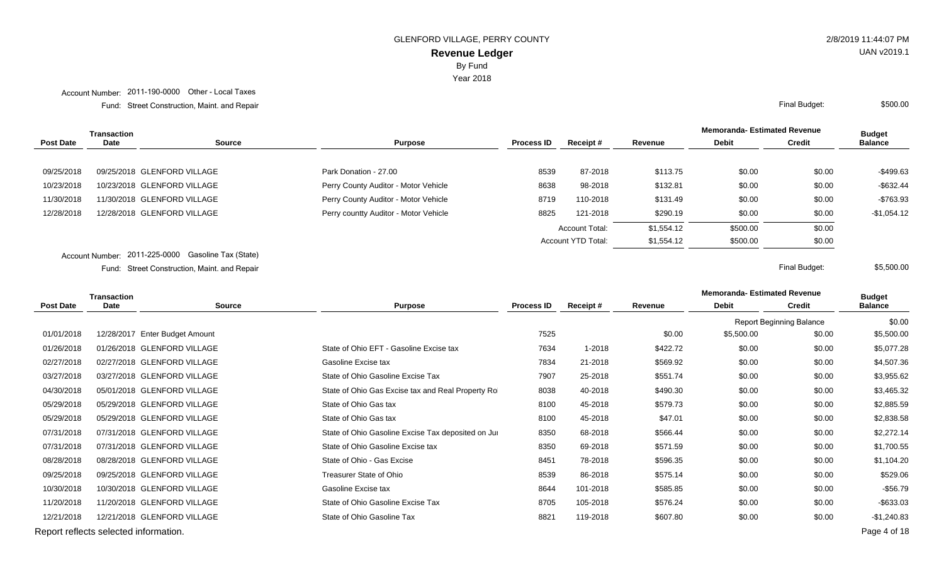Year 2018

Account Number: 2011-190-0000 Other - Local Taxes

Street Construction, Maint. and Repair Final Budget: Fund:

|                  | Transaction |                             |                                       |                   |                       |            | <b>Memoranda- Estimated Revenue</b> |               | <b>Budget</b>  |
|------------------|-------------|-----------------------------|---------------------------------------|-------------------|-----------------------|------------|-------------------------------------|---------------|----------------|
| <b>Post Date</b> | <b>Date</b> | Source                      | <b>Purpose</b>                        | <b>Process ID</b> | Receipt#              | Revenue    | <b>Debit</b>                        | <b>Credit</b> | <b>Balance</b> |
| 09/25/2018       |             | 09/25/2018 GLENFORD VILLAGE | Park Donation - 27.00                 | 8539              | 87-2018               | \$113.75   | \$0.00                              | \$0.00        | $-$499.63$     |
| 10/23/2018       |             | 10/23/2018 GLENFORD VILLAGE | Perry County Auditor - Motor Vehicle  | 8638              | 98-2018               | \$132.81   | \$0.00                              | \$0.00        | $-$ \$632.44   |
| 11/30/2018       |             | 11/30/2018 GLENFORD VILLAGE | Perry County Auditor - Motor Vehicle  | 8719              | 110-2018              | \$131.49   | \$0.00                              | \$0.00        | $-$763.93$     |
| 12/28/2018       |             | 12/28/2018 GLENFORD VILLAGE | Perry countty Auditor - Motor Vehicle | 8825              | 121-2018              | \$290.19   | \$0.00                              | \$0.00        | $-$1,054.12$   |
|                  |             |                             |                                       |                   | <b>Account Total:</b> | \$1,554.12 | \$500.00                            | \$0.00        |                |
|                  |             |                             |                                       |                   | Account YTD Total:    | \$1,554.12 | \$500.00                            | \$0.00        |                |

Account Number: 2011-225-0000 Gasoline Tax (State)

Street Construction, Maint. and Repair Final Budget: Fund:

| <b>Transaction</b> |                                       |                                |                                                    |                   |          |          | <b>Memoranda- Estimated Revenue</b> |                                 | <b>Budget</b>  |
|--------------------|---------------------------------------|--------------------------------|----------------------------------------------------|-------------------|----------|----------|-------------------------------------|---------------------------------|----------------|
| <b>Post Date</b>   | Date                                  | <b>Source</b>                  | <b>Purpose</b>                                     | <b>Process ID</b> | Receipt# | Revenue  | <b>Debit</b>                        | <b>Credit</b>                   | <b>Balance</b> |
|                    |                                       |                                |                                                    |                   |          |          |                                     | <b>Report Beginning Balance</b> | \$0.00         |
| 01/01/2018         |                                       | 12/28/2017 Enter Budget Amount |                                                    | 7525              |          | \$0.00   | \$5,500.00                          | \$0.00                          | \$5,500.00     |
| 01/26/2018         |                                       | 01/26/2018 GLENFORD VILLAGE    | State of Ohio EFT - Gasoline Excise tax            | 7634              | 1-2018   | \$422.72 | \$0.00                              | \$0.00                          | \$5,077.28     |
| 02/27/2018         |                                       | 02/27/2018 GLENFORD VILLAGE    | Gasoline Excise tax                                | 7834              | 21-2018  | \$569.92 | \$0.00                              | \$0.00                          | \$4,507.36     |
| 03/27/2018         |                                       | 03/27/2018 GLENFORD VILLAGE    | State of Ohio Gasoline Excise Tax                  | 7907              | 25-2018  | \$551.74 | \$0.00                              | \$0.00                          | \$3,955.62     |
| 04/30/2018         |                                       | 05/01/2018 GLENFORD VILLAGE    | State of Ohio Gas Excise tax and Real Property Ro  | 8038              | 40-2018  | \$490.30 | \$0.00                              | \$0.00                          | \$3,465.32     |
| 05/29/2018         |                                       | 05/29/2018 GLENFORD VILLAGE    | State of Ohio Gas tax                              | 8100              | 45-2018  | \$579.73 | \$0.00                              | \$0.00                          | \$2,885.59     |
| 05/29/2018         |                                       | 05/29/2018 GLENFORD VILLAGE    | State of Ohio Gas tax                              | 8100              | 45-2018  | \$47.01  | \$0.00                              | \$0.00                          | \$2,838.58     |
| 07/31/2018         |                                       | 07/31/2018 GLENFORD VILLAGE    | State of Ohio Gasoline Excise Tax deposited on Jul | 8350              | 68-2018  | \$566.44 | \$0.00                              | \$0.00                          | \$2,272.14     |
| 07/31/2018         |                                       | 07/31/2018 GLENFORD VILLAGE    | State of Ohio Gasoline Excise tax                  | 8350              | 69-2018  | \$571.59 | \$0.00                              | \$0.00                          | \$1,700.55     |
| 08/28/2018         |                                       | 08/28/2018 GLENFORD VILLAGE    | State of Ohio - Gas Excise                         | 8451              | 78-2018  | \$596.35 | \$0.00                              | \$0.00                          | \$1,104.20     |
| 09/25/2018         |                                       | 09/25/2018 GLENFORD VILLAGE    | Treasurer State of Ohio                            | 8539              | 86-2018  | \$575.14 | \$0.00                              | \$0.00                          | \$529.06       |
| 10/30/2018         |                                       | 10/30/2018 GLENFORD VILLAGE    | Gasoline Excise tax                                | 8644              | 101-2018 | \$585.85 | \$0.00                              | \$0.00                          | $-$56.79$      |
| 11/20/2018         |                                       | 11/20/2018 GLENFORD VILLAGE    | State of Ohio Gasoline Excise Tax                  | 8705              | 105-2018 | \$576.24 | \$0.00                              | \$0.00                          | $-$ \$633.03   |
| 12/21/2018         |                                       | 12/21/2018 GLENFORD VILLAGE    | State of Ohio Gasoline Tax                         | 8821              | 119-2018 | \$607.80 | \$0.00                              | \$0.00                          | $-$1,240.83$   |
|                    | Report reflects selected information. |                                |                                                    |                   |          |          |                                     |                                 | Page 4 of 18   |

UAN v2019.1

\$500.00

\$5,500.00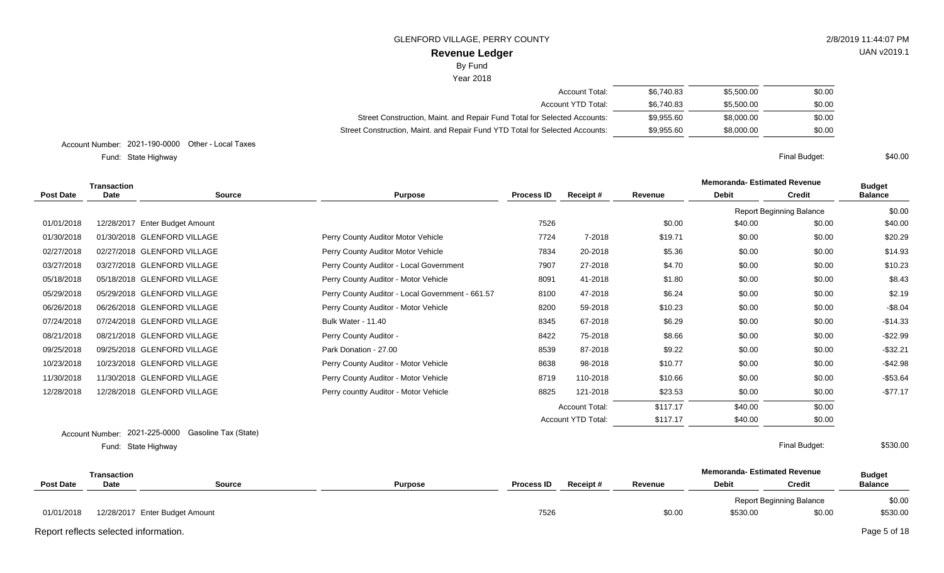# **Revenue Ledger**

# By Fund

#### Year 2018

| Account Total:                                                               | \$6.740.83 | \$5,500.00 | \$0.00 |
|------------------------------------------------------------------------------|------------|------------|--------|
| Account YTD Total:                                                           | \$6.740.83 | \$5,500.00 | \$0.00 |
| Street Construction, Maint. and Repair Fund Total for Selected Accounts:     | \$9.955.60 | \$8,000,00 | \$0.00 |
| Street Construction, Maint. and Repair Fund YTD Total for Selected Accounts: | \$9.955.60 | \$8,000,00 | \$0.00 |

Account Number: 2021-190-0000 Other - Local Taxes

State Highway Final Budget: Fund: State Highway

|                  | <b>Transaction</b>            |                                |                                                  |                   |                       |          | <b>Memoranda-Estimated Revenue</b> |                                 | <b>Budget</b>  |
|------------------|-------------------------------|--------------------------------|--------------------------------------------------|-------------------|-----------------------|----------|------------------------------------|---------------------------------|----------------|
| <b>Post Date</b> | <b>Date</b>                   | <b>Source</b>                  | <b>Purpose</b>                                   | <b>Process ID</b> | Receipt#              | Revenue  | <b>Debit</b>                       | <b>Credit</b>                   | <b>Balance</b> |
|                  |                               |                                |                                                  |                   |                       |          |                                    | <b>Report Beginning Balance</b> | \$0.00         |
| 01/01/2018       |                               | 12/28/2017 Enter Budget Amount |                                                  | 7526              |                       | \$0.00   | \$40.00                            | \$0.00                          | \$40.00        |
| 01/30/2018       |                               | 01/30/2018 GLENFORD VILLAGE    | Perry County Auditor Motor Vehicle               | 7724              | 7-2018                | \$19.71  | \$0.00                             | \$0.00                          | \$20.29        |
| 02/27/2018       |                               | 02/27/2018 GLENFORD VILLAGE    | Perry County Auditor Motor Vehicle               | 7834              | 20-2018               | \$5.36   | \$0.00                             | \$0.00                          | \$14.93        |
| 03/27/2018       |                               | 03/27/2018 GLENFORD VILLAGE    | Perry County Auditor - Local Government          | 7907              | 27-2018               | \$4.70   | \$0.00                             | \$0.00                          | \$10.23        |
| 05/18/2018       |                               | 05/18/2018 GLENFORD VILLAGE    | Perry County Auditor - Motor Vehicle             | 8091              | 41-2018               | \$1.80   | \$0.00                             | \$0.00                          | \$8.43         |
| 05/29/2018       |                               | 05/29/2018 GLENFORD VILLAGE    | Perry County Auditor - Local Government - 661.57 | 8100              | 47-2018               | \$6.24   | \$0.00                             | \$0.00                          | \$2.19         |
| 06/26/2018       |                               | 06/26/2018 GLENFORD VILLAGE    | Perry County Auditor - Motor Vehicle             | 8200              | 59-2018               | \$10.23  | \$0.00                             | \$0.00                          | $-$ \$8.04     |
| 07/24/2018       |                               | 07/24/2018 GLENFORD VILLAGE    | Bulk Water - 11.40                               | 8345              | 67-2018               | \$6.29   | \$0.00                             | \$0.00                          | $-$14.33$      |
| 08/21/2018       |                               | 08/21/2018 GLENFORD VILLAGE    | Perry County Auditor -                           | 8422              | 75-2018               | \$8.66   | \$0.00                             | \$0.00                          | $-$22.99$      |
| 09/25/2018       |                               | 09/25/2018 GLENFORD VILLAGE    | Park Donation - 27.00                            | 8539              | 87-2018               | \$9.22   | \$0.00                             | \$0.00                          | $-$ \$32.21    |
| 10/23/2018       |                               | 10/23/2018 GLENFORD VILLAGE    | Perry County Auditor - Motor Vehicle             | 8638              | 98-2018               | \$10.77  | \$0.00                             | \$0.00                          | $-$42.98$      |
| 11/30/2018       |                               | 11/30/2018 GLENFORD VILLAGE    | Perry County Auditor - Motor Vehicle             | 8719              | 110-2018              | \$10.66  | \$0.00                             | \$0.00                          | $-$53.64$      |
| 12/28/2018       |                               | 12/28/2018 GLENFORD VILLAGE    | Perry countty Auditor - Motor Vehicle            | 8825              | 121-2018              | \$23.53  | \$0.00                             | \$0.00                          | $-$77.17$      |
|                  |                               |                                |                                                  |                   | <b>Account Total:</b> | \$117.17 | \$40.00                            | \$0.00                          |                |
|                  |                               |                                |                                                  |                   | Account YTD Total:    | \$117.17 | \$40.00                            | \$0.00                          |                |
|                  | Account Number: 2021-225-0000 | Gasoline Tax (State)           |                                                  |                   |                       |          |                                    |                                 |                |
|                  | Fund: State Highway           |                                |                                                  |                   |                       |          |                                    | Final Budget:                   | \$530.00       |
|                  | <b>Transaction</b>            |                                |                                                  |                   |                       |          | <b>Memoranda-Estimated Revenue</b> |                                 | <b>Budget</b>  |
| <b>Post Date</b> | <b>Date</b>                   | <b>Source</b>                  | <b>Purpose</b>                                   | <b>Process ID</b> | Receipt#              | Revenue  | <b>Debit</b>                       | <b>Credit</b>                   | <b>Balance</b> |
|                  |                               |                                |                                                  |                   |                       |          |                                    | <b>Report Beginning Balance</b> | \$0.00         |

01/01/2018 12/28/2017 Enter Budget Amount **60.00** \$530.00 \$530.00 \$530.00 \$0.00 \$0.00 \$0.00 \$530.00 \$530.00

Report reflects selected information. Page 5 of 18

\$40.00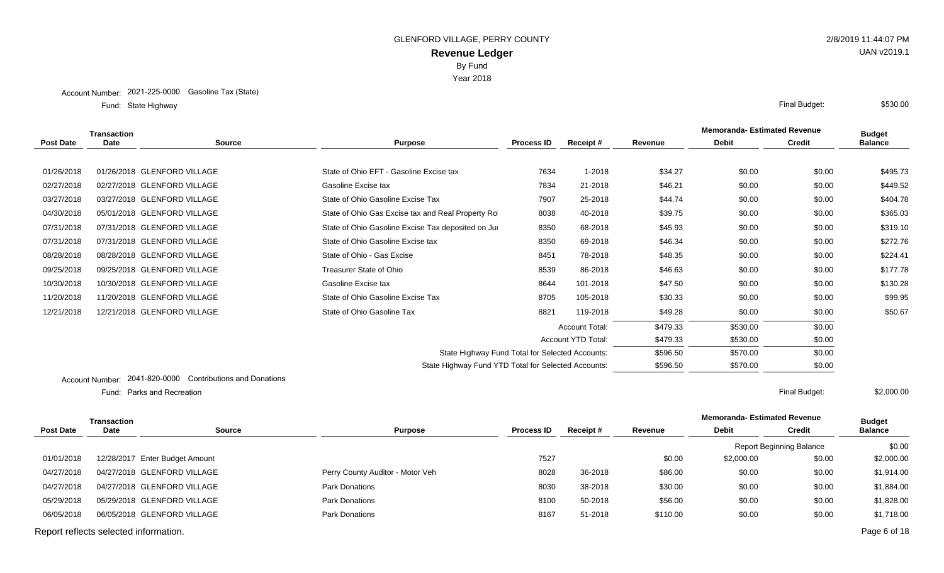Year 2018

State Highway Final Budget: Fund: State Highway

|                  | <b>Transaction</b> |                             |                                                     |                   |                           |          | <b>Memoranda- Estimated Revenue</b> | <b>Budget</b> |                |
|------------------|--------------------|-----------------------------|-----------------------------------------------------|-------------------|---------------------------|----------|-------------------------------------|---------------|----------------|
| <b>Post Date</b> | Date               | <b>Source</b>               | <b>Purpose</b>                                      | <b>Process ID</b> | Receipt#                  | Revenue  | <b>Debit</b>                        | <b>Credit</b> | <b>Balance</b> |
|                  |                    |                             |                                                     |                   |                           |          |                                     |               |                |
| 01/26/2018       |                    | 01/26/2018 GLENFORD VILLAGE | State of Ohio EFT - Gasoline Excise tax             | 7634              | 1-2018                    | \$34.27  | \$0.00                              | \$0.00        | \$495.73       |
| 02/27/2018       |                    | 02/27/2018 GLENFORD VILLAGE | Gasoline Excise tax                                 | 7834              | 21-2018                   | \$46.21  | \$0.00                              | \$0.00        | \$449.52       |
| 03/27/2018       |                    | 03/27/2018 GLENFORD VILLAGE | State of Ohio Gasoline Excise Tax                   | 7907              | 25-2018                   | \$44.74  | \$0.00                              | \$0.00        | \$404.78       |
| 04/30/2018       |                    | 05/01/2018 GLENFORD VILLAGE | State of Ohio Gas Excise tax and Real Property Ro   | 8038              | 40-2018                   | \$39.75  | \$0.00                              | \$0.00        | \$365.03       |
| 07/31/2018       |                    | 07/31/2018 GLENFORD VILLAGE | State of Ohio Gasoline Excise Tax deposited on Jul  | 8350              | 68-2018                   | \$45.93  | \$0.00                              | \$0.00        | \$319.10       |
| 07/31/2018       |                    | 07/31/2018 GLENFORD VILLAGE | State of Ohio Gasoline Excise tax                   | 8350              | 69-2018                   | \$46.34  | \$0.00                              | \$0.00        | \$272.76       |
| 08/28/2018       |                    | 08/28/2018 GLENFORD VILLAGE | State of Ohio - Gas Excise                          | 8451              | 78-2018                   | \$48.35  | \$0.00                              | \$0.00        | \$224.41       |
| 09/25/2018       |                    | 09/25/2018 GLENFORD VILLAGE | Treasurer State of Ohio                             | 8539              | 86-2018                   | \$46.63  | \$0.00                              | \$0.00        | \$177.78       |
| 10/30/2018       |                    | 10/30/2018 GLENFORD VILLAGE | Gasoline Excise tax                                 | 8644              | 101-2018                  | \$47.50  | \$0.00                              | \$0.00        | \$130.28       |
| 11/20/2018       |                    | 11/20/2018 GLENFORD VILLAGE | State of Ohio Gasoline Excise Tax                   | 8705              | 105-2018                  | \$30.33  | \$0.00                              | \$0.00        | \$99.95        |
| 12/21/2018       |                    | 12/21/2018 GLENFORD VILLAGE | State of Ohio Gasoline Tax                          | 8821              | 119-2018                  | \$49.28  | \$0.00                              | \$0.00        | \$50.67        |
|                  |                    |                             |                                                     |                   | <b>Account Total:</b>     | \$479.33 | \$530.00                            | \$0.00        |                |
|                  |                    |                             |                                                     |                   | <b>Account YTD Total:</b> | \$479.33 | \$530.00                            | \$0.00        |                |
|                  |                    |                             | State Highway Fund Total for Selected Accounts:     |                   |                           | \$596.50 | \$570.00                            | \$0.00        |                |
|                  |                    |                             | State Highway Fund YTD Total for Selected Accounts: |                   |                           | \$596.50 | \$570.00                            | \$0.00        |                |
|                  |                    |                             |                                                     |                   |                           |          |                                     |               |                |

Account Number: 2041-820-0000 Contributions and Donations

Parks and Recreation Final Budget: Fund: Parks and Recreation

\$2,000.00

|                                       | <b>Transaction</b> |                                |                                  |                   |          |          | <b>Memoranda- Estimated Revenue</b> |                                 | <b>Budget</b>  |
|---------------------------------------|--------------------|--------------------------------|----------------------------------|-------------------|----------|----------|-------------------------------------|---------------------------------|----------------|
| <b>Post Date</b>                      | Date               | <b>Source</b>                  | <b>Purpose</b>                   | <b>Process ID</b> | Receipt# | Revenue  | <b>Debit</b>                        | Credit                          | <b>Balance</b> |
|                                       |                    |                                |                                  |                   |          |          |                                     | <b>Report Beginning Balance</b> | \$0.00         |
| 01/01/2018                            |                    | 12/28/2017 Enter Budget Amount |                                  | 7527              |          | \$0.00   | \$2,000.00                          | \$0.00                          | \$2,000.00     |
| 04/27/2018                            |                    | 04/27/2018 GLENFORD VILLAGE    | Perry County Auditor - Motor Veh | 8028              | 36-2018  | \$86.00  | \$0.00                              | \$0.00                          | \$1,914.00     |
| 04/27/2018                            |                    | 04/27/2018 GLENFORD VILLAGE    | Park Donations                   | 8030              | 38-2018  | \$30.00  | \$0.00                              | \$0.00                          | \$1,884.00     |
| 05/29/2018                            |                    | 05/29/2018 GLENFORD VILLAGE    | <b>Park Donations</b>            | 8100              | 50-2018  | \$56.00  | \$0.00                              | \$0.00                          | \$1,828.00     |
| 06/05/2018                            |                    | 06/05/2018 GLENFORD VILLAGE    | <b>Park Donations</b>            | 8167              | 51-2018  | \$110.00 | \$0.00                              | \$0.00                          | \$1,718.00     |
| Report reflects selected information. |                    |                                |                                  |                   |          |          |                                     |                                 | Page 6 of 18   |

UAN v2019.1

\$530.00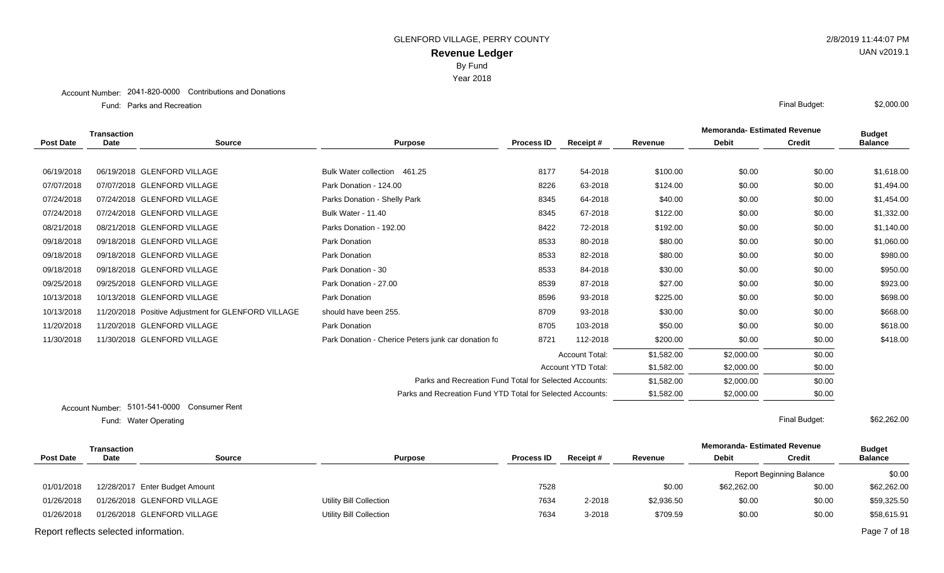Year 2018

#### Account Number: 2041-820-0000 Contributions and Donations

Parks and Recreation Final Budget: Fund:

|                  | <b>Transaction</b> |                                                     |                                                            |                   |                       | <b>Memoranda- Estimated Revenue</b> |              | <b>Budget</b> |                |
|------------------|--------------------|-----------------------------------------------------|------------------------------------------------------------|-------------------|-----------------------|-------------------------------------|--------------|---------------|----------------|
| <b>Post Date</b> | <b>Date</b>        | <b>Source</b>                                       | <b>Purpose</b>                                             | <b>Process ID</b> | Receipt#              | Revenue                             | <b>Debit</b> | <b>Credit</b> | <b>Balance</b> |
|                  |                    |                                                     |                                                            |                   |                       |                                     |              |               |                |
| 06/19/2018       |                    | 06/19/2018 GLENFORD VILLAGE                         | Bulk Water collection 461.25                               | 8177              | 54-2018               | \$100.00                            | \$0.00       | \$0.00        | \$1,618.00     |
| 07/07/2018       |                    | 07/07/2018 GLENFORD VILLAGE                         | Park Donation - 124.00                                     | 8226              | 63-2018               | \$124.00                            | \$0.00       | \$0.00        | \$1,494.00     |
| 07/24/2018       |                    | 07/24/2018 GLENFORD VILLAGE                         | Parks Donation - Shelly Park                               | 8345              | 64-2018               | \$40.00                             | \$0.00       | \$0.00        | \$1,454.00     |
| 07/24/2018       |                    | 07/24/2018 GLENFORD VILLAGE                         | Bulk Water - 11.40                                         | 8345              | 67-2018               | \$122.00                            | \$0.00       | \$0.00        | \$1,332.00     |
| 08/21/2018       |                    | 08/21/2018 GLENFORD VILLAGE                         | Parks Donation - 192.00                                    | 8422              | 72-2018               | \$192.00                            | \$0.00       | \$0.00        | \$1,140.00     |
| 09/18/2018       |                    | 09/18/2018 GLENFORD VILLAGE                         | Park Donation                                              | 8533              | 80-2018               | \$80.00                             | \$0.00       | \$0.00        | \$1,060.00     |
| 09/18/2018       |                    | 09/18/2018 GLENFORD VILLAGE                         | Park Donation                                              | 8533              | 82-2018               | \$80.00                             | \$0.00       | \$0.00        | \$980.00       |
| 09/18/2018       |                    | 09/18/2018 GLENFORD VILLAGE                         | Park Donation - 30                                         | 8533              | 84-2018               | \$30.00                             | \$0.00       | \$0.00        | \$950.00       |
| 09/25/2018       |                    | 09/25/2018 GLENFORD VILLAGE                         | Park Donation - 27.00                                      | 8539              | 87-2018               | \$27.00                             | \$0.00       | \$0.00        | \$923.00       |
| 10/13/2018       |                    | 10/13/2018 GLENFORD VILLAGE                         | Park Donation                                              | 8596              | 93-2018               | \$225.00                            | \$0.00       | \$0.00        | \$698.00       |
| 10/13/2018       |                    | 11/20/2018 Positive Adjustment for GLENFORD VILLAGE | should have been 255.                                      | 8709              | 93-2018               | \$30.00                             | \$0.00       | \$0.00        | \$668.00       |
| 11/20/2018       |                    | 11/20/2018 GLENFORD VILLAGE                         | Park Donation                                              | 8705              | 103-2018              | \$50.00                             | \$0.00       | \$0.00        | \$618.00       |
| 11/30/2018       |                    | 11/30/2018 GLENFORD VILLAGE                         | Park Donation - Cherice Peters junk car donation fc        | 8721              | 112-2018              | \$200.00                            | \$0.00       | \$0.00        | \$418.00       |
|                  |                    |                                                     |                                                            |                   | <b>Account Total:</b> | \$1,582.00                          | \$2,000.00   | \$0.00        |                |
|                  |                    |                                                     |                                                            |                   | Account YTD Total:    | \$1,582.00                          | \$2,000.00   | \$0.00        |                |
|                  |                    |                                                     | Parks and Recreation Fund Total for Selected Accounts:     |                   |                       | \$1,582.00                          | \$2,000.00   | \$0.00        |                |
|                  |                    |                                                     | Parks and Recreation Fund YTD Total for Selected Accounts: |                   |                       | \$1,582.00                          | \$2,000.00   | \$0.00        |                |
|                  | Account Number:    | 5101-541-0000 Consumer Rent                         |                                                            |                   |                       |                                     |              |               |                |

Water Operating Final Budget: Fund: Water Operating

|                                       | <b>Transaction</b> |                                |                         |                   |          |            | <b>Memoranda- Estimated Revenue</b> |                                 | <b>Budget</b>  |
|---------------------------------------|--------------------|--------------------------------|-------------------------|-------------------|----------|------------|-------------------------------------|---------------------------------|----------------|
| <b>Post Date</b>                      | <b>Date</b>        | <b>Source</b>                  | <b>Purpose</b>          | <b>Process ID</b> | Receipt# | Revenue    | <b>Debit</b>                        | <b>Credit</b>                   | <b>Balance</b> |
|                                       |                    |                                |                         |                   |          |            |                                     | <b>Report Beginning Balance</b> | \$0.00         |
| 01/01/2018                            |                    | 12/28/2017 Enter Budget Amount |                         | 7528              |          | \$0.00     | \$62,262.00                         | \$0.00                          | \$62,262.00    |
| 01/26/2018                            |                    | 01/26/2018 GLENFORD VILLAGE    | Utility Bill Collection | 7634              | 2-2018   | \$2,936.50 | \$0.00                              | \$0.00                          | \$59,325.50    |
| 01/26/2018                            |                    | 01/26/2018 GLENFORD VILLAGE    | Utility Bill Collection | 7634              | $3-2018$ | \$709.59   | \$0.00                              | \$0.00                          | \$58,615.91    |
| Report reflects selected information. |                    |                                |                         |                   |          |            |                                     |                                 | Page 7 of 18   |

UAN v2019.1

\$2,000.00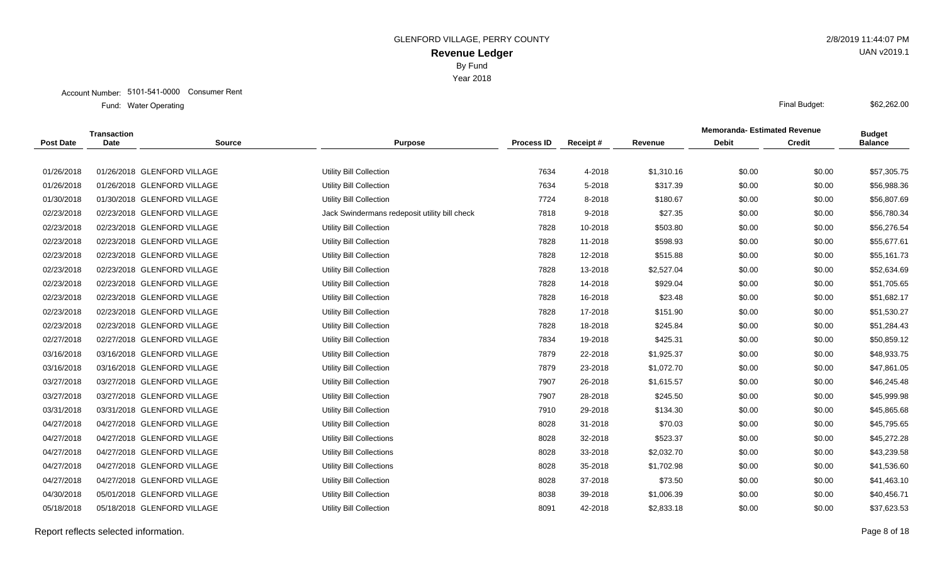Year 2018

|                  | <b>Transaction</b> |                             |                                               |                   |          |            | <b>Memoranda-Estimated Revenue</b> |               | <b>Budget</b>  |
|------------------|--------------------|-----------------------------|-----------------------------------------------|-------------------|----------|------------|------------------------------------|---------------|----------------|
| <b>Post Date</b> | Date               | <b>Source</b>               | <b>Purpose</b>                                | <b>Process ID</b> | Receipt# | Revenue    | <b>Debit</b>                       | <b>Credit</b> | <b>Balance</b> |
|                  |                    |                             |                                               |                   |          |            |                                    |               |                |
| 01/26/2018       |                    | 01/26/2018 GLENFORD VILLAGE | <b>Utility Bill Collection</b>                | 7634              | 4-2018   | \$1,310.16 | \$0.00                             | \$0.00        | \$57,305.75    |
| 01/26/2018       |                    | 01/26/2018 GLENFORD VILLAGE | <b>Utility Bill Collection</b>                | 7634              | 5-2018   | \$317.39   | \$0.00                             | \$0.00        | \$56,988.36    |
| 01/30/2018       |                    | 01/30/2018 GLENFORD VILLAGE | <b>Utility Bill Collection</b>                | 7724              | 8-2018   | \$180.67   | \$0.00                             | \$0.00        | \$56,807.69    |
| 02/23/2018       |                    | 02/23/2018 GLENFORD VILLAGE | Jack Swindermans redeposit utility bill check | 7818              | 9-2018   | \$27.35    | \$0.00                             | \$0.00        | \$56,780.34    |
| 02/23/2018       |                    | 02/23/2018 GLENFORD VILLAGE | Utility Bill Collection                       | 7828              | 10-2018  | \$503.80   | \$0.00                             | \$0.00        | \$56,276.54    |
| 02/23/2018       |                    | 02/23/2018 GLENFORD VILLAGE | Utility Bill Collection                       | 7828              | 11-2018  | \$598.93   | \$0.00                             | \$0.00        | \$55,677.61    |
| 02/23/2018       |                    | 02/23/2018 GLENFORD VILLAGE | <b>Utility Bill Collection</b>                | 7828              | 12-2018  | \$515.88   | \$0.00                             | \$0.00        | \$55,161.73    |
| 02/23/2018       |                    | 02/23/2018 GLENFORD VILLAGE | Utility Bill Collection                       | 7828              | 13-2018  | \$2,527.04 | \$0.00                             | \$0.00        | \$52,634.69    |
| 02/23/2018       |                    | 02/23/2018 GLENFORD VILLAGE | Utility Bill Collection                       | 7828              | 14-2018  | \$929.04   | \$0.00                             | \$0.00        | \$51,705.65    |
| 02/23/2018       |                    | 02/23/2018 GLENFORD VILLAGE | <b>Utility Bill Collection</b>                | 7828              | 16-2018  | \$23.48    | \$0.00                             | \$0.00        | \$51,682.17    |
| 02/23/2018       |                    | 02/23/2018 GLENFORD VILLAGE | <b>Utility Bill Collection</b>                | 7828              | 17-2018  | \$151.90   | \$0.00                             | \$0.00        | \$51,530.27    |
| 02/23/2018       |                    | 02/23/2018 GLENFORD VILLAGE | Utility Bill Collection                       | 7828              | 18-2018  | \$245.84   | \$0.00                             | \$0.00        | \$51,284.43    |
| 02/27/2018       |                    | 02/27/2018 GLENFORD VILLAGE | <b>Utility Bill Collection</b>                | 7834              | 19-2018  | \$425.31   | \$0.00                             | \$0.00        | \$50,859.12    |
| 03/16/2018       |                    | 03/16/2018 GLENFORD VILLAGE | Utility Bill Collection                       | 7879              | 22-2018  | \$1,925.37 | \$0.00                             | \$0.00        | \$48,933.75    |
| 03/16/2018       |                    | 03/16/2018 GLENFORD VILLAGE | Utility Bill Collection                       | 7879              | 23-2018  | \$1,072.70 | \$0.00                             | \$0.00        | \$47,861.05    |
| 03/27/2018       |                    | 03/27/2018 GLENFORD VILLAGE | <b>Utility Bill Collection</b>                | 7907              | 26-2018  | \$1,615.57 | \$0.00                             | \$0.00        | \$46,245.48    |
| 03/27/2018       |                    | 03/27/2018 GLENFORD VILLAGE | Utility Bill Collection                       | 7907              | 28-2018  | \$245.50   | \$0.00                             | \$0.00        | \$45,999.98    |
| 03/31/2018       |                    | 03/31/2018 GLENFORD VILLAGE | Utility Bill Collection                       | 7910              | 29-2018  | \$134.30   | \$0.00                             | \$0.00        | \$45,865.68    |
| 04/27/2018       |                    | 04/27/2018 GLENFORD VILLAGE | <b>Utility Bill Collection</b>                | 8028              | 31-2018  | \$70.03    | \$0.00                             | \$0.00        | \$45,795.65    |
| 04/27/2018       |                    | 04/27/2018 GLENFORD VILLAGE | <b>Utility Bill Collections</b>               | 8028              | 32-2018  | \$523.37   | \$0.00                             | \$0.00        | \$45,272.28    |
| 04/27/2018       |                    | 04/27/2018 GLENFORD VILLAGE | Utility Bill Collections                      | 8028              | 33-2018  | \$2,032.70 | \$0.00                             | \$0.00        | \$43,239.58    |
| 04/27/2018       |                    | 04/27/2018 GLENFORD VILLAGE | Utility Bill Collections                      | 8028              | 35-2018  | \$1,702.98 | \$0.00                             | \$0.00        | \$41,536.60    |
| 04/27/2018       |                    | 04/27/2018 GLENFORD VILLAGE | Utility Bill Collection                       | 8028              | 37-2018  | \$73.50    | \$0.00                             | \$0.00        | \$41,463.10    |
| 04/30/2018       |                    | 05/01/2018 GLENFORD VILLAGE | <b>Utility Bill Collection</b>                | 8038              | 39-2018  | \$1,006.39 | \$0.00                             | \$0.00        | \$40,456.71    |
| 05/18/2018       |                    | 05/18/2018 GLENFORD VILLAGE | <b>Utility Bill Collection</b>                | 8091              | 42-2018  | \$2,833.18 | \$0.00                             | \$0.00        | \$37,623.53    |
|                  |                    |                             |                                               |                   |          |            |                                    |               |                |

Report reflects selected information. Page 8 of 18

UAN v2019.1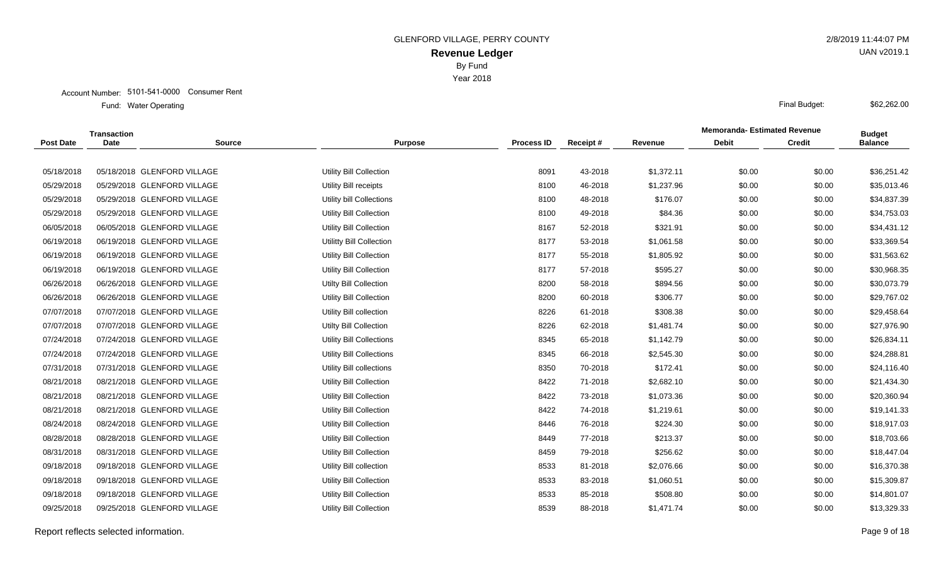Year 2018

#### Account Number: 5101-541-0000 Consumer Rent

Water Operating Final Budget: Fund: Water Operating

|                  | <b>Transaction</b> |                             |                                 |                   |          |            | <b>Memoranda-Estimated Revenue</b> |               | <b>Budget</b>  |
|------------------|--------------------|-----------------------------|---------------------------------|-------------------|----------|------------|------------------------------------|---------------|----------------|
| <b>Post Date</b> | Date               | <b>Source</b>               | <b>Purpose</b>                  | <b>Process ID</b> | Receipt# | Revenue    | <b>Debit</b>                       | <b>Credit</b> | <b>Balance</b> |
|                  |                    |                             |                                 |                   |          |            |                                    |               |                |
| 05/18/2018       |                    | 05/18/2018 GLENFORD VILLAGE | Utility Bill Collection         | 8091              | 43-2018  | \$1,372.11 | \$0.00                             | \$0.00        | \$36,251.42    |
| 05/29/2018       |                    | 05/29/2018 GLENFORD VILLAGE | Utility Bill receipts           | 8100              | 46-2018  | \$1,237.96 | \$0.00                             | \$0.00        | \$35,013.46    |
| 05/29/2018       |                    | 05/29/2018 GLENFORD VILLAGE | Utility bill Collections        | 8100              | 48-2018  | \$176.07   | \$0.00                             | \$0.00        | \$34,837.39    |
| 05/29/2018       |                    | 05/29/2018 GLENFORD VILLAGE | Utility Bill Collection         | 8100              | 49-2018  | \$84.36    | \$0.00                             | \$0.00        | \$34,753.03    |
| 06/05/2018       |                    | 06/05/2018 GLENFORD VILLAGE | <b>Utility Bill Collection</b>  | 8167              | 52-2018  | \$321.91   | \$0.00                             | \$0.00        | \$34,431.12    |
| 06/19/2018       |                    | 06/19/2018 GLENFORD VILLAGE | Utilitty Bill Collection        | 8177              | 53-2018  | \$1,061.58 | \$0.00                             | \$0.00        | \$33,369.54    |
| 06/19/2018       |                    | 06/19/2018 GLENFORD VILLAGE | Utility Bill Collection         | 8177              | 55-2018  | \$1,805.92 | \$0.00                             | \$0.00        | \$31,563.62    |
| 06/19/2018       |                    | 06/19/2018 GLENFORD VILLAGE | Utility Bill Collection         | 8177              | 57-2018  | \$595.27   | \$0.00                             | \$0.00        | \$30,968.35    |
| 06/26/2018       |                    | 06/26/2018 GLENFORD VILLAGE | <b>Utilty Bill Collection</b>   | 8200              | 58-2018  | \$894.56   | \$0.00                             | \$0.00        | \$30,073.79    |
| 06/26/2018       |                    | 06/26/2018 GLENFORD VILLAGE | <b>Utility Bill Collection</b>  | 8200              | 60-2018  | \$306.77   | \$0.00                             | \$0.00        | \$29,767.02    |
| 07/07/2018       |                    | 07/07/2018 GLENFORD VILLAGE | Utility Bill collection         | 8226              | 61-2018  | \$308.38   | \$0.00                             | \$0.00        | \$29,458.64    |
| 07/07/2018       |                    | 07/07/2018 GLENFORD VILLAGE | <b>Utilty Bill Collection</b>   | 8226              | 62-2018  | \$1,481.74 | \$0.00                             | \$0.00        | \$27,976.90    |
| 07/24/2018       |                    | 07/24/2018 GLENFORD VILLAGE | Utility Bill Collections        | 8345              | 65-2018  | \$1,142.79 | \$0.00                             | \$0.00        | \$26,834.11    |
| 07/24/2018       |                    | 07/24/2018 GLENFORD VILLAGE | <b>Utility Bill Collections</b> | 8345              | 66-2018  | \$2,545.30 | \$0.00                             | \$0.00        | \$24,288.81    |
| 07/31/2018       |                    | 07/31/2018 GLENFORD VILLAGE | Utility Bill collections        | 8350              | 70-2018  | \$172.41   | \$0.00                             | \$0.00        | \$24,116.40    |
| 08/21/2018       |                    | 08/21/2018 GLENFORD VILLAGE | <b>Utility Bill Collection</b>  | 8422              | 71-2018  | \$2,682.10 | \$0.00                             | \$0.00        | \$21,434.30    |
| 08/21/2018       |                    | 08/21/2018 GLENFORD VILLAGE | Utility Bill Collection         | 8422              | 73-2018  | \$1,073.36 | \$0.00                             | \$0.00        | \$20,360.94    |
| 08/21/2018       |                    | 08/21/2018 GLENFORD VILLAGE | Utility Bill Collection         | 8422              | 74-2018  | \$1,219.61 | \$0.00                             | \$0.00        | \$19,141.33    |
| 08/24/2018       |                    | 08/24/2018 GLENFORD VILLAGE | <b>Utility Bill Collection</b>  | 8446              | 76-2018  | \$224.30   | \$0.00                             | \$0.00        | \$18,917.03    |
| 08/28/2018       |                    | 08/28/2018 GLENFORD VILLAGE | <b>Utility Bill Collection</b>  | 8449              | 77-2018  | \$213.37   | \$0.00                             | \$0.00        | \$18,703.66    |
| 08/31/2018       |                    | 08/31/2018 GLENFORD VILLAGE | Utility Bill Collection         | 8459              | 79-2018  | \$256.62   | \$0.00                             | \$0.00        | \$18,447.04    |
| 09/18/2018       |                    | 09/18/2018 GLENFORD VILLAGE | Utility Bill collection         | 8533              | 81-2018  | \$2,076.66 | \$0.00                             | \$0.00        | \$16,370.38    |
| 09/18/2018       |                    | 09/18/2018 GLENFORD VILLAGE | Utility Bill Collection         | 8533              | 83-2018  | \$1,060.51 | \$0.00                             | \$0.00        | \$15,309.87    |
| 09/18/2018       |                    | 09/18/2018 GLENFORD VILLAGE | <b>Utility Bill Collection</b>  | 8533              | 85-2018  | \$508.80   | \$0.00                             | \$0.00        | \$14,801.07    |
| 09/25/2018       |                    | 09/25/2018 GLENFORD VILLAGE | <b>Utility Bill Collection</b>  | 8539              | 88-2018  | \$1,471.74 | \$0.00                             | \$0.00        | \$13,329.33    |
|                  |                    |                             |                                 |                   |          |            |                                    |               |                |

Report reflects selected information. Page 9 of 18

UAN v2019.1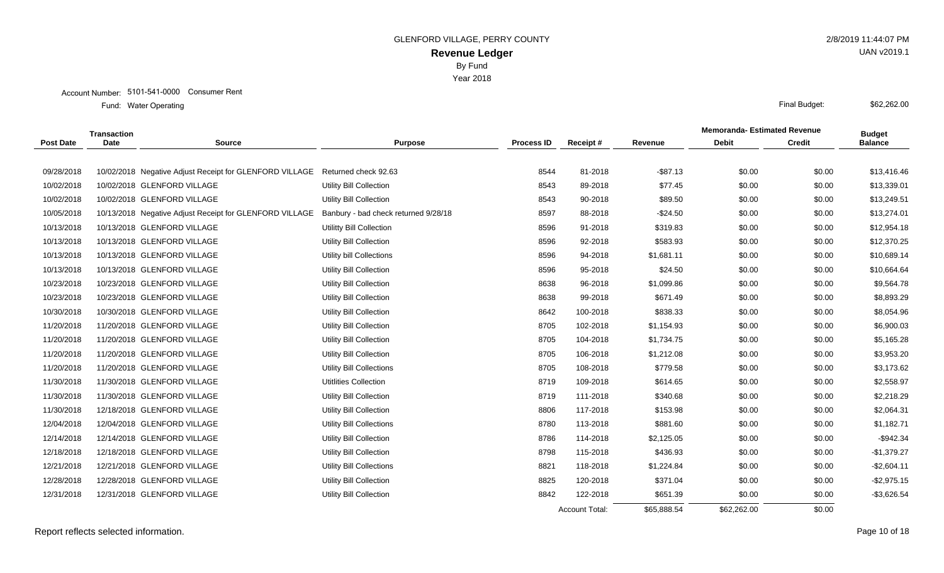Year 2018

Water Operating Final Budget: Fund: Water Operating

|                  | <b>Transaction</b> |                                                         |                                      |                   |                       |             | <b>Memoranda- Estimated Revenue</b> |               | <b>Budget</b>  |
|------------------|--------------------|---------------------------------------------------------|--------------------------------------|-------------------|-----------------------|-------------|-------------------------------------|---------------|----------------|
| <b>Post Date</b> | <b>Date</b>        | <b>Source</b>                                           | <b>Purpose</b>                       | <b>Process ID</b> | Receipt#              | Revenue     | <b>Debit</b>                        | <b>Credit</b> | <b>Balance</b> |
|                  |                    |                                                         |                                      |                   |                       |             |                                     |               |                |
| 09/28/2018       |                    | 10/02/2018 Negative Adjust Receipt for GLENFORD VILLAGE | Returned check 92.63                 | 8544              | 81-2018               | $-$ \$87.13 | \$0.00                              | \$0.00        | \$13,416.46    |
| 10/02/2018       |                    | 10/02/2018 GLENFORD VILLAGE                             | Utility Bill Collection              | 8543              | 89-2018               | \$77.45     | \$0.00                              | \$0.00        | \$13,339.01    |
| 10/02/2018       |                    | 10/02/2018 GLENFORD VILLAGE                             | Utility Bill Collection              | 8543              | 90-2018               | \$89.50     | \$0.00                              | \$0.00        | \$13,249.51    |
| 10/05/2018       |                    | 10/13/2018 Negative Adjust Receipt for GLENFORD VILLAGE | Banbury - bad check returned 9/28/18 | 8597              | 88-2018               | $-$24.50$   | \$0.00                              | \$0.00        | \$13,274.01    |
| 10/13/2018       |                    | 10/13/2018 GLENFORD VILLAGE                             | Utilitty Bill Collection             | 8596              | 91-2018               | \$319.83    | \$0.00                              | \$0.00        | \$12,954.18    |
| 10/13/2018       |                    | 10/13/2018 GLENFORD VILLAGE                             | <b>Utility Bill Collection</b>       | 8596              | 92-2018               | \$583.93    | \$0.00                              | \$0.00        | \$12,370.25    |
| 10/13/2018       |                    | 10/13/2018 GLENFORD VILLAGE                             | Utility bill Collections             | 8596              | 94-2018               | \$1,681.11  | \$0.00                              | \$0.00        | \$10,689.14    |
| 10/13/2018       |                    | 10/13/2018 GLENFORD VILLAGE                             | Utility Bill Collection              | 8596              | 95-2018               | \$24.50     | \$0.00                              | \$0.00        | \$10,664.64    |
| 10/23/2018       |                    | 10/23/2018 GLENFORD VILLAGE                             | <b>Utility Bill Collection</b>       | 8638              | 96-2018               | \$1,099.86  | \$0.00                              | \$0.00        | \$9,564.78     |
| 10/23/2018       |                    | 10/23/2018 GLENFORD VILLAGE                             | Utility Bill Collection              | 8638              | 99-2018               | \$671.49    | \$0.00                              | \$0.00        | \$8,893.29     |
| 10/30/2018       |                    | 10/30/2018 GLENFORD VILLAGE                             | <b>Utility Bill Collection</b>       | 8642              | 100-2018              | \$838.33    | \$0.00                              | \$0.00        | \$8,054.96     |
| 11/20/2018       |                    | 11/20/2018 GLENFORD VILLAGE                             | Utility Bill Collection              | 8705              | 102-2018              | \$1,154.93  | \$0.00                              | \$0.00        | \$6,900.03     |
| 11/20/2018       |                    | 11/20/2018 GLENFORD VILLAGE                             | Utility Bill Collection              | 8705              | 104-2018              | \$1,734.75  | \$0.00                              | \$0.00        | \$5,165.28     |
| 11/20/2018       |                    | 11/20/2018 GLENFORD VILLAGE                             | Utility Bill Collection              | 8705              | 106-2018              | \$1,212.08  | \$0.00                              | \$0.00        | \$3,953.20     |
| 11/20/2018       |                    | 11/20/2018 GLENFORD VILLAGE                             | Utility Bill Collections             | 8705              | 108-2018              | \$779.58    | \$0.00                              | \$0.00        | \$3,173.62     |
| 11/30/2018       |                    | 11/30/2018 GLENFORD VILLAGE                             | <b>Utitlities Collection</b>         | 8719              | 109-2018              | \$614.65    | \$0.00                              | \$0.00        | \$2,558.97     |
| 11/30/2018       |                    | 11/30/2018 GLENFORD VILLAGE                             | Utility Bill Collection              | 8719              | 111-2018              | \$340.68    | \$0.00                              | \$0.00        | \$2,218.29     |
| 11/30/2018       |                    | 12/18/2018 GLENFORD VILLAGE                             | <b>Utility Bill Collection</b>       | 8806              | 117-2018              | \$153.98    | \$0.00                              | \$0.00        | \$2,064.31     |
| 12/04/2018       |                    | 12/04/2018 GLENFORD VILLAGE                             | <b>Utility Bill Collections</b>      | 8780              | 113-2018              | \$881.60    | \$0.00                              | \$0.00        | \$1,182.71     |
| 12/14/2018       |                    | 12/14/2018 GLENFORD VILLAGE                             | Utility Bill Collection              | 8786              | 114-2018              | \$2,125.05  | \$0.00                              | \$0.00        | $-$942.34$     |
| 12/18/2018       |                    | 12/18/2018 GLENFORD VILLAGE                             | <b>Utility Bill Collection</b>       | 8798              | 115-2018              | \$436.93    | \$0.00                              | \$0.00        | $-$1,379.27$   |
| 12/21/2018       |                    | 12/21/2018 GLENFORD VILLAGE                             | <b>Utility Bill Collections</b>      | 8821              | 118-2018              | \$1,224.84  | \$0.00                              | \$0.00        | $-$2,604.11$   |
| 12/28/2018       |                    | 12/28/2018 GLENFORD VILLAGE                             | Utility Bill Collection              | 8825              | 120-2018              | \$371.04    | \$0.00                              | \$0.00        | $-$2,975.15$   |
| 12/31/2018       |                    | 12/31/2018 GLENFORD VILLAGE                             | <b>Utility Bill Collection</b>       | 8842              | 122-2018              | \$651.39    | \$0.00                              | \$0.00        | $-$3,626.54$   |
|                  |                    |                                                         |                                      |                   | <b>Account Total:</b> | \$65,888.54 | \$62,262.00                         | \$0.00        |                |

Report reflects selected information. Page 10 of 18

UAN v2019.1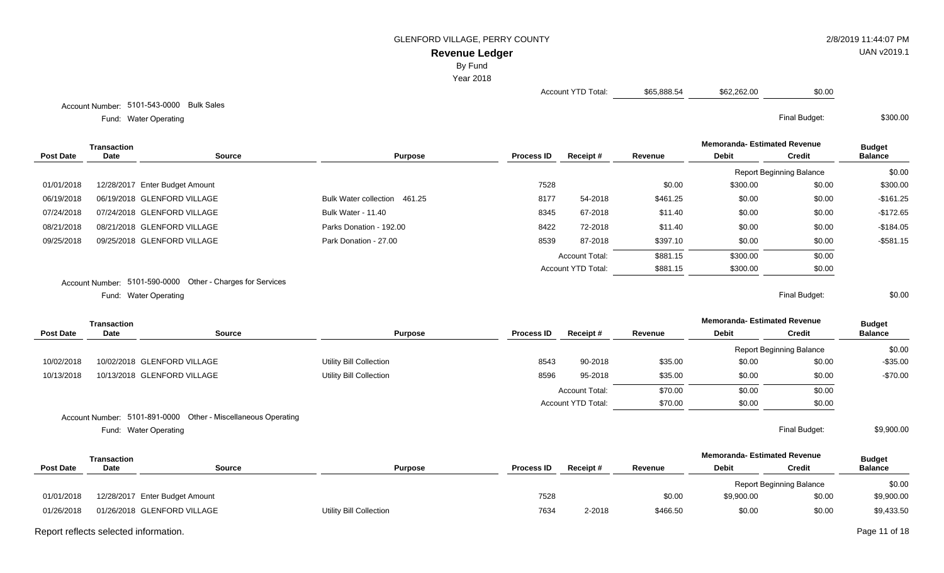# **Revenue Ledger**

By Fund

Year 2018

Account YTD Total:  $$65,888.54$  \$62,262.00 \$0.00

Water Operating Final Budget: \$300.00

Account Number: 5101-543-0000 Bulk Sales Fund: Water Operating

|                  | Transaction |                                                            |                              |                   |                           |          | <b>Memoranda-Estimated Revenue</b> |                                 | <b>Budget</b>  |
|------------------|-------------|------------------------------------------------------------|------------------------------|-------------------|---------------------------|----------|------------------------------------|---------------------------------|----------------|
| <b>Post Date</b> | <b>Date</b> | Source                                                     | <b>Purpose</b>               | <b>Process ID</b> | Receipt#                  | Revenue  | <b>Debit</b>                       | <b>Credit</b>                   | <b>Balance</b> |
|                  |             |                                                            |                              |                   |                           |          |                                    | <b>Report Beginning Balance</b> | \$0.00         |
| 01/01/2018       |             | 12/28/2017 Enter Budget Amount                             |                              | 7528              |                           | \$0.00   | \$300.00                           | \$0.00                          | \$300.00       |
| 06/19/2018       |             | 06/19/2018 GLENFORD VILLAGE                                | Bulk Water collection 461.25 | 8177              | 54-2018                   | \$461.25 | \$0.00                             | \$0.00                          | $-$161.25$     |
| 07/24/2018       |             | 07/24/2018 GLENFORD VILLAGE                                | <b>Bulk Water - 11.40</b>    | 8345              | 67-2018                   | \$11.40  | \$0.00                             | \$0.00                          | $-$172.65$     |
| 08/21/2018       |             | 08/21/2018 GLENFORD VILLAGE                                | Parks Donation - 192.00      | 8422              | 72-2018                   | \$11.40  | \$0.00                             | \$0.00                          | $-$184.05$     |
| 09/25/2018       |             | 09/25/2018 GLENFORD VILLAGE                                | Park Donation - 27.00        | 8539              | 87-2018                   | \$397.10 | \$0.00                             | \$0.00                          | $-$ \$581.15   |
|                  |             |                                                            |                              |                   | <b>Account Total:</b>     | \$881.15 | \$300.00                           | \$0.00                          |                |
|                  |             |                                                            |                              |                   | <b>Account YTD Total:</b> | \$881.15 | \$300.00                           | \$0.00                          |                |
|                  |             | Account Number: 5101-590-0000 Other - Charges for Services |                              |                   |                           |          |                                    |                                 |                |
|                  |             | Fund: Water Operating                                      |                              |                   |                           |          |                                    | Final Budget:                   | \$0.00         |

|                  | <b>Transaction</b> |                                                               |                         |                   |                           |         | <b>Memoranda-Estimated Revenue</b> |                                 | <b>Budget</b>  |
|------------------|--------------------|---------------------------------------------------------------|-------------------------|-------------------|---------------------------|---------|------------------------------------|---------------------------------|----------------|
| <b>Post Date</b> | Date               | <b>Source</b>                                                 | <b>Purpose</b>          | <b>Process ID</b> | Receipt#                  | Revenue | <b>Debit</b>                       | <b>Credit</b>                   | <b>Balance</b> |
|                  |                    |                                                               |                         |                   |                           |         |                                    | <b>Report Beginning Balance</b> | \$0.00         |
| 10/02/2018       |                    | 10/02/2018 GLENFORD VILLAGE                                   | Utility Bill Collection | 8543              | 90-2018                   | \$35.00 | \$0.00                             | \$0.00                          | $-$35.00$      |
| 10/13/2018       |                    | 10/13/2018 GLENFORD VILLAGE                                   | Utility Bill Collection | 8596              | 95-2018                   | \$35.00 | \$0.00                             | \$0.00                          | $-$70.00$      |
|                  |                    |                                                               |                         |                   | <b>Account Total:</b>     | \$70.00 | \$0.00                             | \$0.00                          |                |
|                  |                    |                                                               |                         |                   | <b>Account YTD Total:</b> | \$70.00 | \$0.00                             | \$0.00                          |                |
|                  |                    | Account Number: 5101-891-0000 Other - Miscellaneous Operating |                         |                   |                           |         |                                    |                                 |                |

Water Operating Final Budget: Fund: Water Operating

\$9,900.00

|                  | Transaction |                                |                         |                   |          |          | <b>Memoranda- Estimated Revenue</b> |                                 | <b>Budget</b>  |
|------------------|-------------|--------------------------------|-------------------------|-------------------|----------|----------|-------------------------------------|---------------------------------|----------------|
| <b>Post Date</b> | Date        | Source                         | <b>Purpose</b>          | <b>Process ID</b> | Receipt# | Revenue  | <b>Debit</b>                        | Credit                          | <b>Balance</b> |
|                  |             |                                |                         |                   |          |          |                                     | <b>Report Beginning Balance</b> | \$0.00         |
| 01/01/2018       |             | 12/28/2017 Enter Budget Amount |                         | 7528              |          | \$0.00   | \$9,900.00                          | \$0.00                          | \$9,900.00     |
| 01/26/2018       |             | 01/26/2018 GLENFORD VILLAGE    | Utility Bill Collection | 7634              | 2-2018   | \$466.50 | \$0.00                              | \$0.00                          | \$9,433.50     |

Report reflects selected information. Page 11 of 18

UAN v2019.1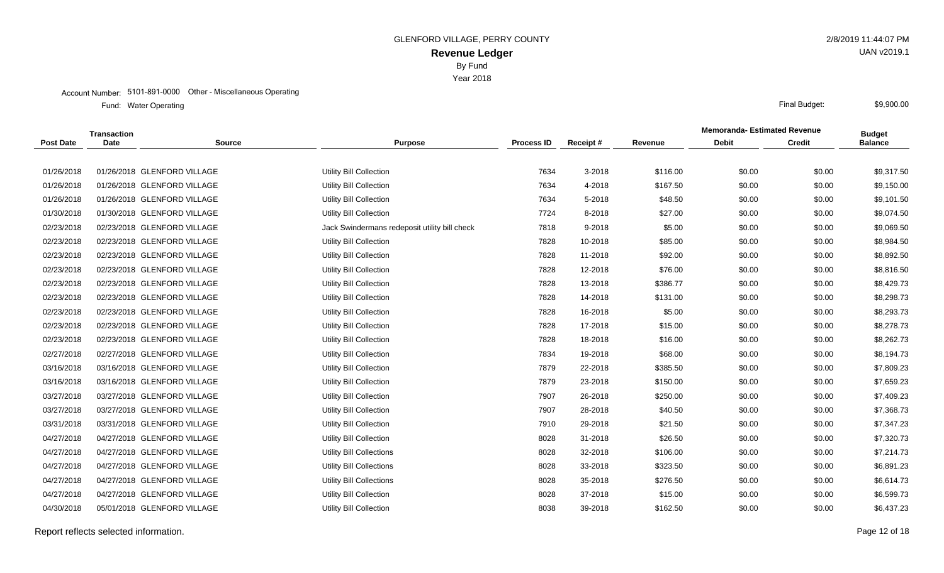Year 2018

#### Account Number: 5101-891-0000 Other - Miscellaneous Operating

Water Operating Final Budget: Fund: Water Operating

|                  | Transaction |                             |                                               |                   |            |          | <b>Memoranda-Estimated Revenue</b> |               | <b>Budget</b>  |
|------------------|-------------|-----------------------------|-----------------------------------------------|-------------------|------------|----------|------------------------------------|---------------|----------------|
| <b>Post Date</b> | <b>Date</b> | <b>Source</b>               | <b>Purpose</b>                                | <b>Process ID</b> | Receipt#   | Revenue  | <b>Debit</b>                       | <b>Credit</b> | <b>Balance</b> |
|                  |             |                             |                                               |                   |            |          |                                    |               |                |
| 01/26/2018       |             | 01/26/2018 GLENFORD VILLAGE | <b>Utility Bill Collection</b>                | 7634              | $3 - 2018$ | \$116.00 | \$0.00                             | \$0.00        | \$9,317.50     |
| 01/26/2018       |             | 01/26/2018 GLENFORD VILLAGE | <b>Utility Bill Collection</b>                | 7634              | 4-2018     | \$167.50 | \$0.00                             | \$0.00        | \$9,150.00     |
| 01/26/2018       |             | 01/26/2018 GLENFORD VILLAGE | <b>Utility Bill Collection</b>                | 7634              | 5-2018     | \$48.50  | \$0.00                             | \$0.00        | \$9,101.50     |
| 01/30/2018       |             | 01/30/2018 GLENFORD VILLAGE | <b>Utility Bill Collection</b>                | 7724              | 8-2018     | \$27.00  | \$0.00                             | \$0.00        | \$9,074.50     |
| 02/23/2018       |             | 02/23/2018 GLENFORD VILLAGE | Jack Swindermans redeposit utility bill check | 7818              | $9 - 2018$ | \$5.00   | \$0.00                             | \$0.00        | \$9,069.50     |
| 02/23/2018       |             | 02/23/2018 GLENFORD VILLAGE | <b>Utility Bill Collection</b>                | 7828              | 10-2018    | \$85.00  | \$0.00                             | \$0.00        | \$8,984.50     |
| 02/23/2018       |             | 02/23/2018 GLENFORD VILLAGE | <b>Utility Bill Collection</b>                | 7828              | 11-2018    | \$92.00  | \$0.00                             | \$0.00        | \$8,892.50     |
| 02/23/2018       |             | 02/23/2018 GLENFORD VILLAGE | Utility Bill Collection                       | 7828              | 12-2018    | \$76.00  | \$0.00                             | \$0.00        | \$8,816.50     |
| 02/23/2018       |             | 02/23/2018 GLENFORD VILLAGE | <b>Utility Bill Collection</b>                | 7828              | 13-2018    | \$386.77 | \$0.00                             | \$0.00        | \$8,429.73     |
| 02/23/2018       |             | 02/23/2018 GLENFORD VILLAGE | <b>Utility Bill Collection</b>                | 7828              | 14-2018    | \$131.00 | \$0.00                             | \$0.00        | \$8,298.73     |
| 02/23/2018       |             | 02/23/2018 GLENFORD VILLAGE | Utility Bill Collection                       | 7828              | 16-2018    | \$5.00   | \$0.00                             | \$0.00        | \$8,293.73     |
| 02/23/2018       |             | 02/23/2018 GLENFORD VILLAGE | <b>Utility Bill Collection</b>                | 7828              | 17-2018    | \$15.00  | \$0.00                             | \$0.00        | \$8,278.73     |
| 02/23/2018       |             | 02/23/2018 GLENFORD VILLAGE | Utility Bill Collection                       | 7828              | 18-2018    | \$16.00  | \$0.00                             | \$0.00        | \$8,262.73     |
| 02/27/2018       |             | 02/27/2018 GLENFORD VILLAGE | <b>Utility Bill Collection</b>                | 7834              | 19-2018    | \$68.00  | \$0.00                             | \$0.00        | \$8,194.73     |
| 03/16/2018       |             | 03/16/2018 GLENFORD VILLAGE | <b>Utility Bill Collection</b>                | 7879              | 22-2018    | \$385.50 | \$0.00                             | \$0.00        | \$7,809.23     |
| 03/16/2018       |             | 03/16/2018 GLENFORD VILLAGE | Utility Bill Collection                       | 7879              | 23-2018    | \$150.00 | \$0.00                             | \$0.00        | \$7,659.23     |
| 03/27/2018       |             | 03/27/2018 GLENFORD VILLAGE | <b>Utility Bill Collection</b>                | 7907              | 26-2018    | \$250.00 | \$0.00                             | \$0.00        | \$7,409.23     |
| 03/27/2018       |             | 03/27/2018 GLENFORD VILLAGE | Utility Bill Collection                       | 7907              | 28-2018    | \$40.50  | \$0.00                             | \$0.00        | \$7,368.73     |
| 03/31/2018       |             | 03/31/2018 GLENFORD VILLAGE | <b>Utility Bill Collection</b>                | 7910              | 29-2018    | \$21.50  | \$0.00                             | \$0.00        | \$7,347.23     |
| 04/27/2018       |             | 04/27/2018 GLENFORD VILLAGE | Utility Bill Collection                       | 8028              | 31-2018    | \$26.50  | \$0.00                             | \$0.00        | \$7,320.73     |
| 04/27/2018       |             | 04/27/2018 GLENFORD VILLAGE | Utility Bill Collections                      | 8028              | 32-2018    | \$106.00 | \$0.00                             | \$0.00        | \$7,214.73     |
| 04/27/2018       |             | 04/27/2018 GLENFORD VILLAGE | Utility Bill Collections                      | 8028              | 33-2018    | \$323.50 | \$0.00                             | \$0.00        | \$6,891.23     |
| 04/27/2018       |             | 04/27/2018 GLENFORD VILLAGE | Utility Bill Collections                      | 8028              | 35-2018    | \$276.50 | \$0.00                             | \$0.00        | \$6,614.73     |
| 04/27/2018       |             | 04/27/2018 GLENFORD VILLAGE | <b>Utility Bill Collection</b>                | 8028              | 37-2018    | \$15.00  | \$0.00                             | \$0.00        | \$6,599.73     |
| 04/30/2018       |             | 05/01/2018 GLENFORD VILLAGE | <b>Utility Bill Collection</b>                | 8038              | 39-2018    | \$162.50 | \$0.00                             | \$0.00        | \$6,437.23     |
|                  |             |                             |                                               |                   |            |          |                                    |               |                |

Report reflects selected information. Page 12 of 18

UAN v2019.1

\$9,900.00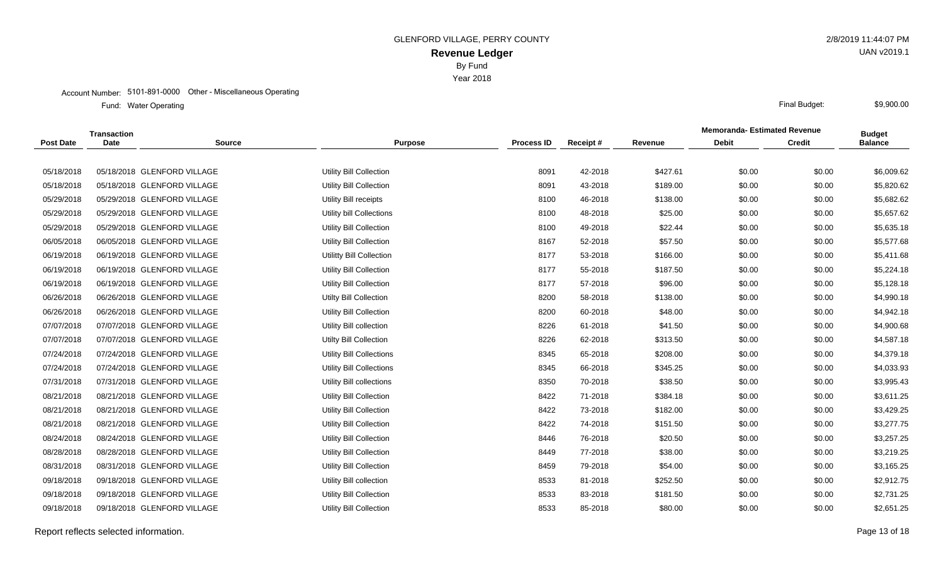Year 2018

#### Account Number: 5101-891-0000 Other - Miscellaneous Operating

Water Operating Final Budget: Fund: Water Operating

|                  | <b>Transaction</b> |                             |                                 |                   |          |          | <b>Memoranda- Estimated Revenue</b> |               | <b>Budget</b>  |
|------------------|--------------------|-----------------------------|---------------------------------|-------------------|----------|----------|-------------------------------------|---------------|----------------|
| <b>Post Date</b> | <b>Date</b>        | <b>Source</b>               | <b>Purpose</b>                  | <b>Process ID</b> | Receipt# | Revenue  | <b>Debit</b>                        | <b>Credit</b> | <b>Balance</b> |
|                  |                    |                             |                                 |                   |          |          |                                     |               |                |
| 05/18/2018       |                    | 05/18/2018 GLENFORD VILLAGE | Utility Bill Collection         | 8091              | 42-2018  | \$427.61 | \$0.00                              | \$0.00        | \$6,009.62     |
| 05/18/2018       |                    | 05/18/2018 GLENFORD VILLAGE | Utility Bill Collection         | 8091              | 43-2018  | \$189.00 | \$0.00                              | \$0.00        | \$5,820.62     |
| 05/29/2018       |                    | 05/29/2018 GLENFORD VILLAGE | Utility Bill receipts           | 8100              | 46-2018  | \$138.00 | \$0.00                              | \$0.00        | \$5,682.62     |
| 05/29/2018       |                    | 05/29/2018 GLENFORD VILLAGE | Utility bill Collections        | 8100              | 48-2018  | \$25.00  | \$0.00                              | \$0.00        | \$5,657.62     |
| 05/29/2018       |                    | 05/29/2018 GLENFORD VILLAGE | <b>Utility Bill Collection</b>  | 8100              | 49-2018  | \$22.44  | \$0.00                              | \$0.00        | \$5,635.18     |
| 06/05/2018       |                    | 06/05/2018 GLENFORD VILLAGE | <b>Utility Bill Collection</b>  | 8167              | 52-2018  | \$57.50  | \$0.00                              | \$0.00        | \$5,577.68     |
| 06/19/2018       |                    | 06/19/2018 GLENFORD VILLAGE | <b>Utilitty Bill Collection</b> | 8177              | 53-2018  | \$166.00 | \$0.00                              | \$0.00        | \$5,411.68     |
| 06/19/2018       |                    | 06/19/2018 GLENFORD VILLAGE | <b>Utility Bill Collection</b>  | 8177              | 55-2018  | \$187.50 | \$0.00                              | \$0.00        | \$5,224.18     |
| 06/19/2018       |                    | 06/19/2018 GLENFORD VILLAGE | <b>Utility Bill Collection</b>  | 8177              | 57-2018  | \$96.00  | \$0.00                              | \$0.00        | \$5,128.18     |
| 06/26/2018       |                    | 06/26/2018 GLENFORD VILLAGE | <b>Utilty Bill Collection</b>   | 8200              | 58-2018  | \$138.00 | \$0.00                              | \$0.00        | \$4,990.18     |
| 06/26/2018       |                    | 06/26/2018 GLENFORD VILLAGE | <b>Utility Bill Collection</b>  | 8200              | 60-2018  | \$48.00  | \$0.00                              | \$0.00        | \$4,942.18     |
| 07/07/2018       |                    | 07/07/2018 GLENFORD VILLAGE | Utility Bill collection         | 8226              | 61-2018  | \$41.50  | \$0.00                              | \$0.00        | \$4,900.68     |
| 07/07/2018       |                    | 07/07/2018 GLENFORD VILLAGE | <b>Utilty Bill Collection</b>   | 8226              | 62-2018  | \$313.50 | \$0.00                              | \$0.00        | \$4,587.18     |
| 07/24/2018       |                    | 07/24/2018 GLENFORD VILLAGE | <b>Utility Bill Collections</b> | 8345              | 65-2018  | \$208.00 | \$0.00                              | \$0.00        | \$4,379.18     |
| 07/24/2018       |                    | 07/24/2018 GLENFORD VILLAGE | Utility Bill Collections        | 8345              | 66-2018  | \$345.25 | \$0.00                              | \$0.00        | \$4,033.93     |
| 07/31/2018       |                    | 07/31/2018 GLENFORD VILLAGE | Utility Bill collections        | 8350              | 70-2018  | \$38.50  | \$0.00                              | \$0.00        | \$3,995.43     |
| 08/21/2018       |                    | 08/21/2018 GLENFORD VILLAGE | <b>Utility Bill Collection</b>  | 8422              | 71-2018  | \$384.18 | \$0.00                              | \$0.00        | \$3,611.25     |
| 08/21/2018       |                    | 08/21/2018 GLENFORD VILLAGE | <b>Utility Bill Collection</b>  | 8422              | 73-2018  | \$182.00 | \$0.00                              | \$0.00        | \$3,429.25     |
| 08/21/2018       |                    | 08/21/2018 GLENFORD VILLAGE | <b>Utility Bill Collection</b>  | 8422              | 74-2018  | \$151.50 | \$0.00                              | \$0.00        | \$3,277.75     |
| 08/24/2018       |                    | 08/24/2018 GLENFORD VILLAGE | <b>Utility Bill Collection</b>  | 8446              | 76-2018  | \$20.50  | \$0.00                              | \$0.00        | \$3,257.25     |
| 08/28/2018       |                    | 08/28/2018 GLENFORD VILLAGE | <b>Utility Bill Collection</b>  | 8449              | 77-2018  | \$38.00  | \$0.00                              | \$0.00        | \$3,219.25     |
| 08/31/2018       |                    | 08/31/2018 GLENFORD VILLAGE | <b>Utility Bill Collection</b>  | 8459              | 79-2018  | \$54.00  | \$0.00                              | \$0.00        | \$3,165.25     |
| 09/18/2018       |                    | 09/18/2018 GLENFORD VILLAGE | Utility Bill collection         | 8533              | 81-2018  | \$252.50 | \$0.00                              | \$0.00        | \$2,912.75     |
| 09/18/2018       |                    | 09/18/2018 GLENFORD VILLAGE | Utility Bill Collection         | 8533              | 83-2018  | \$181.50 | \$0.00                              | \$0.00        | \$2,731.25     |
| 09/18/2018       |                    | 09/18/2018 GLENFORD VILLAGE | Utility Bill Collection         | 8533              | 85-2018  | \$80.00  | \$0.00                              | \$0.00        | \$2,651.25     |

Report reflects selected information. Page 13 of 18

UAN v2019.1

\$9,900.00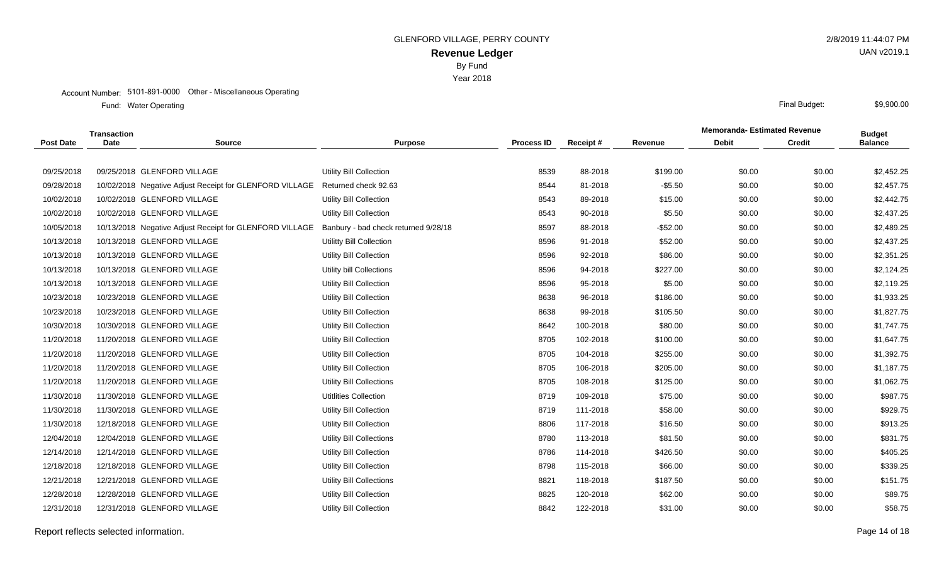Year 2018

#### Account Number: 5101-891-0000 Other - Miscellaneous Operating

Water Operating Final Budget: Fund: Water Operating

|                  | <b>Transaction</b> |                                                         |                                      |                   |          |           | <b>Memoranda- Estimated Revenue</b> |               | <b>Budget</b>  |
|------------------|--------------------|---------------------------------------------------------|--------------------------------------|-------------------|----------|-----------|-------------------------------------|---------------|----------------|
| <b>Post Date</b> | <b>Date</b>        | <b>Source</b>                                           | <b>Purpose</b>                       | <b>Process ID</b> | Receipt# | Revenue   | <b>Debit</b>                        | <b>Credit</b> | <b>Balance</b> |
|                  |                    |                                                         |                                      |                   |          |           |                                     |               |                |
| 09/25/2018       |                    | 09/25/2018 GLENFORD VILLAGE                             | Utility Bill Collection              | 8539              | 88-2018  | \$199.00  | \$0.00                              | \$0.00        | \$2,452.25     |
| 09/28/2018       |                    | 10/02/2018 Negative Adjust Receipt for GLENFORD VILLAGE | Returned check 92.63                 | 8544              | 81-2018  | $-$5.50$  | \$0.00                              | \$0.00        | \$2,457.75     |
| 10/02/2018       |                    | 10/02/2018 GLENFORD VILLAGE                             | Utility Bill Collection              | 8543              | 89-2018  | \$15.00   | \$0.00                              | \$0.00        | \$2,442.75     |
| 10/02/2018       |                    | 10/02/2018 GLENFORD VILLAGE                             | <b>Utility Bill Collection</b>       | 8543              | 90-2018  | \$5.50    | \$0.00                              | \$0.00        | \$2,437.25     |
| 10/05/2018       |                    | 10/13/2018 Negative Adjust Receipt for GLENFORD VILLAGE | Banbury - bad check returned 9/28/18 | 8597              | 88-2018  | $-$52.00$ | \$0.00                              | \$0.00        | \$2,489.25     |
| 10/13/2018       |                    | 10/13/2018 GLENFORD VILLAGE                             | Utilitty Bill Collection             | 8596              | 91-2018  | \$52.00   | \$0.00                              | \$0.00        | \$2,437.25     |
| 10/13/2018       |                    | 10/13/2018 GLENFORD VILLAGE                             | <b>Utility Bill Collection</b>       | 8596              | 92-2018  | \$86.00   | \$0.00                              | \$0.00        | \$2,351.25     |
| 10/13/2018       |                    | 10/13/2018 GLENFORD VILLAGE                             | Utility bill Collections             | 8596              | 94-2018  | \$227.00  | \$0.00                              | \$0.00        | \$2,124.25     |
| 10/13/2018       |                    | 10/13/2018 GLENFORD VILLAGE                             | Utility Bill Collection              | 8596              | 95-2018  | \$5.00    | \$0.00                              | \$0.00        | \$2,119.25     |
| 10/23/2018       |                    | 10/23/2018 GLENFORD VILLAGE                             | Utility Bill Collection              | 8638              | 96-2018  | \$186.00  | \$0.00                              | \$0.00        | \$1,933.25     |
| 10/23/2018       |                    | 10/23/2018 GLENFORD VILLAGE                             | <b>Utility Bill Collection</b>       | 8638              | 99-2018  | \$105.50  | \$0.00                              | \$0.00        | \$1,827.75     |
| 10/30/2018       |                    | 10/30/2018 GLENFORD VILLAGE                             | Utility Bill Collection              | 8642              | 100-2018 | \$80.00   | \$0.00                              | \$0.00        | \$1,747.75     |
| 11/20/2018       |                    | 11/20/2018 GLENFORD VILLAGE                             | Utility Bill Collection              | 8705              | 102-2018 | \$100.00  | \$0.00                              | \$0.00        | \$1,647.75     |
| 11/20/2018       |                    | 11/20/2018 GLENFORD VILLAGE                             | Utility Bill Collection              | 8705              | 104-2018 | \$255.00  | \$0.00                              | \$0.00        | \$1,392.75     |
| 11/20/2018       |                    | 11/20/2018 GLENFORD VILLAGE                             | <b>Utility Bill Collection</b>       | 8705              | 106-2018 | \$205.00  | \$0.00                              | \$0.00        | \$1,187.75     |
| 11/20/2018       |                    | 11/20/2018 GLENFORD VILLAGE                             | Utility Bill Collections             | 8705              | 108-2018 | \$125.00  | \$0.00                              | \$0.00        | \$1,062.75     |
| 11/30/2018       |                    | 11/30/2018 GLENFORD VILLAGE                             | <b>Utitlities Collection</b>         | 8719              | 109-2018 | \$75.00   | \$0.00                              | \$0.00        | \$987.75       |
| 11/30/2018       |                    | 11/30/2018 GLENFORD VILLAGE                             | <b>Utility Bill Collection</b>       | 8719              | 111-2018 | \$58.00   | \$0.00                              | \$0.00        | \$929.75       |
| 11/30/2018       |                    | 12/18/2018 GLENFORD VILLAGE                             | <b>Utility Bill Collection</b>       | 8806              | 117-2018 | \$16.50   | \$0.00                              | \$0.00        | \$913.25       |
| 12/04/2018       |                    | 12/04/2018 GLENFORD VILLAGE                             | Utility Bill Collections             | 8780              | 113-2018 | \$81.50   | \$0.00                              | \$0.00        | \$831.75       |
| 12/14/2018       |                    | 12/14/2018 GLENFORD VILLAGE                             | <b>Utility Bill Collection</b>       | 8786              | 114-2018 | \$426.50  | \$0.00                              | \$0.00        | \$405.25       |
| 12/18/2018       |                    | 12/18/2018 GLENFORD VILLAGE                             | <b>Utility Bill Collection</b>       | 8798              | 115-2018 | \$66.00   | \$0.00                              | \$0.00        | \$339.25       |
| 12/21/2018       |                    | 12/21/2018 GLENFORD VILLAGE                             | Utility Bill Collections             | 8821              | 118-2018 | \$187.50  | \$0.00                              | \$0.00        | \$151.75       |
| 12/28/2018       |                    | 12/28/2018 GLENFORD VILLAGE                             | <b>Utility Bill Collection</b>       | 8825              | 120-2018 | \$62.00   | \$0.00                              | \$0.00        | \$89.75        |
| 12/31/2018       |                    | 12/31/2018 GLENFORD VILLAGE                             | <b>Utility Bill Collection</b>       | 8842              | 122-2018 | \$31.00   | \$0.00                              | \$0.00        | \$58.75        |
|                  |                    |                                                         |                                      |                   |          |           |                                     |               |                |

Report reflects selected information. Page 14 of 18

UAN v2019.1

\$9,900.00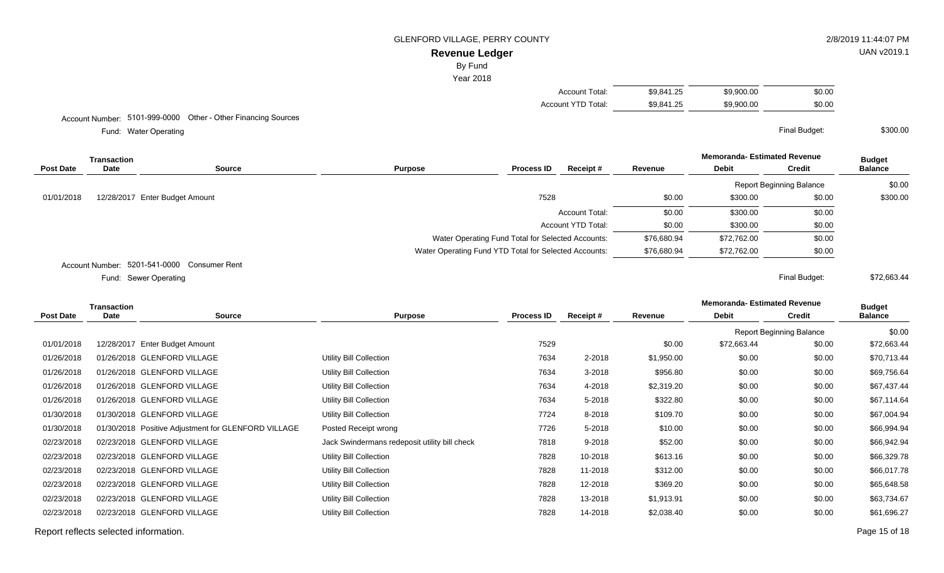# **Revenue Ledger**

By Fund

Year 2018

| Account Total:     | \$9.841.25 | \$9,900.00 | \$0.00 |
|--------------------|------------|------------|--------|
| Account YTD Total: | \$9.841.25 | \$9,900.00 | \$0.00 |

Account Number: 5101-999-0000 Other - Other Financing Sources

Water Operating Final Budget: Fund: Water Operating

**Memoranda- Estimated Revenue Source Purpose Process ID Receipt # Revenue Debit Transaction Post Date Date Budget Credit Balance** Report Beginning Balance \$0.00 01/01/2018 12/28/2017 Enter Budget Amount 2002 120 12/28/2017 Enter Budget Amount 3000.00 \$300.00 \$300.00 \$300.00 Account Total:  $$0.00$  \$300.00 \$0.00 Account YTD Total:  $$0.00$   $$300.00$   $$0.00$ Water Operating Fund Total for Selected Accounts: \$76,680.94 \$72,762.00 \$0.00 Water Operating Fund YTD Total for Selected Accounts: \$76,680.94 \$72,762.00 \$0.00 Account Number: 5201-541-0000 Consumer Rent Sewer Operating Final Budget: \$72,663.44

Fund: Sewer Operating

**Memoranda- Estimated Revenue Source Purpose Process ID Receipt # Revenue Debit Transaction Post Date Date Budget Credit Balance** Report Beginning Balance \$0.00 01/01/2018 12/28/2017 Enter Budget Amount 2002 12/28/2017 Enter Budget Amount 2008 \$12,663.44 \$0.00 \$72,663.44 01/26/2018 01/26/2018 GLENFORD VILLAGE Utility Bill Collection Utility Bill Collection 7634 2-2018 \$1,950.00 \$0.00 \$0.00 \$70,713.44 01/26/2018 01/26/2018 GLENFORD VILLAGE Utility Bill Collection Collection 7634 3-2018 \$956.80 \$0.00 \$0.00 \$69,756.64 01/26/2018 01/26/2018 GLENFORD VILLAGE Utility Bill Collection Utility Bill Collection 7634 4-2018 \$2,319.20 \$0.00 \$0.00 \$67,437.44 01/26/2018 01/26/2018 GLENFORD VILLAGE Utility Bill Collection Collection 7634 5-2018 \$322.80 \$0.00 \$0.00 \$67,114.64 01/30/2018 01/30/2018 GLENFORD VILLAGE Utility Bill Collection Utility Bill Collection 7724 8-2018 \$109.70 \$0.00 \$67,004.94 01/30/2018 01/30/2018 Positive Adjustment for GLENFORD VILLAGE Posted Receipt wrong 7726 7726 5-2018 \$10.00 \$0.00 \$0.00 \$66,994.94 02/23/2018 02/23/2018 GLENFORD VILLAGE <br>
366,942.94 Jack Swindermans redeposit utility bill check 7818 9-2018 \$52.00 \$0.00 \$0.00 \$66,942.94 02/23/2018 02/23/2018 GLENFORD VILLAGE Utility Bill Collection Collection 7828 10-2018 \$613.16 \$0.00 \$0.00 \$66,329.78 02/23/2018 02/23/2018 GLENFORD VILLAGE Utility Bill Collection Collection 7828 11-2018 \$312.00 \$0.00 \$0.00 \$66,017.78 02/23/2018 02/23/2018 GLENFORD VILLAGE Utility Bill Collection Collection 7828 12-2018 \$369.20 \$0.00 \$0.00 \$65,648.58 02/23/2018 02/23/2018 GLENFORD VILLAGE Utility Bill Collection Utility Bill Collection 7828 13-2018 \$1,913.91 \$0.00 \$63,734.67 02/23/2018 02/23/2018 GLENFORD VILLAGE Utility Bill Collection Collection 7828 14-2018 \$2,038.40 \$0.00 \$61,696.27

Report reflects selected information. Page 15 of 18

UAN v2019.1

\$300.00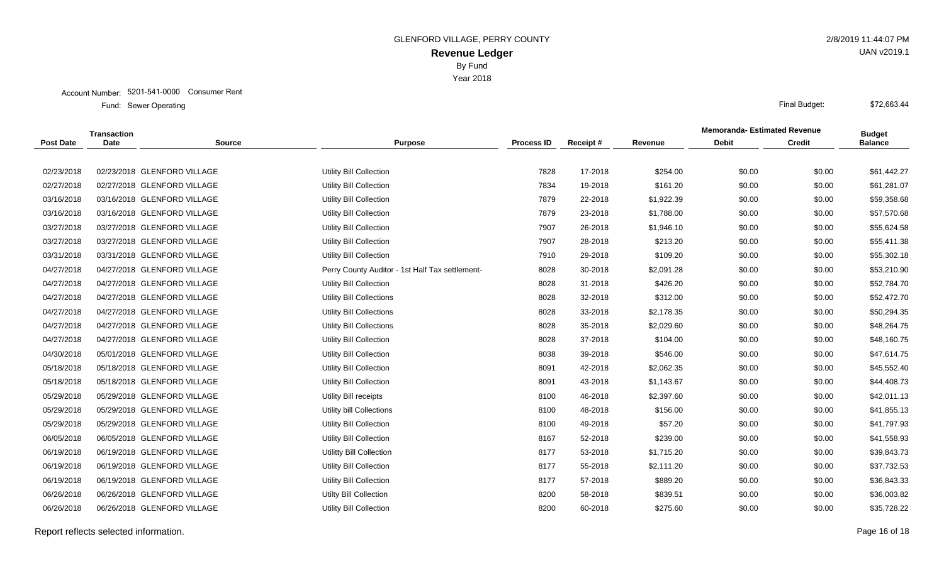Account Number: 5201-541-0000 Consumer Rent

|                  | <b>Transaction</b> |                             |                                                 |                   |          |            | <b>Memoranda-Estimated Revenue</b> |               | <b>Budget</b>  |
|------------------|--------------------|-----------------------------|-------------------------------------------------|-------------------|----------|------------|------------------------------------|---------------|----------------|
| <b>Post Date</b> | Date               | <b>Source</b>               | <b>Purpose</b>                                  | <b>Process ID</b> | Receipt# | Revenue    | <b>Debit</b>                       | <b>Credit</b> | <b>Balance</b> |
|                  |                    |                             |                                                 |                   |          |            |                                    |               |                |
| 02/23/2018       |                    | 02/23/2018 GLENFORD VILLAGE | <b>Utility Bill Collection</b>                  | 7828              |          | \$254.00   | \$0.00                             | \$0.00        | \$61,442.27    |
| 02/27/2018       |                    | 02/27/2018 GLENFORD VILLAGE | Utility Bill Collection                         | 7834              | 19-2018  | \$161.20   | \$0.00                             | \$0.00        | \$61,281.07    |
| 03/16/2018       |                    | 03/16/2018 GLENFORD VILLAGE | <b>Utility Bill Collection</b>                  | 7879              | 22-2018  | \$1,922.39 | \$0.00                             | \$0.00        | \$59,358.68    |
| 03/16/2018       |                    | 03/16/2018 GLENFORD VILLAGE | <b>Utility Bill Collection</b>                  | 7879              | 23-2018  | \$1,788.00 | \$0.00                             | \$0.00        | \$57,570.68    |
| 03/27/2018       |                    | 03/27/2018 GLENFORD VILLAGE | Utility Bill Collection                         | 7907              | 26-2018  | \$1,946.10 | \$0.00                             | \$0.00        | \$55,624.58    |
| 03/27/2018       |                    | 03/27/2018 GLENFORD VILLAGE | Utility Bill Collection                         | 7907              | 28-2018  | \$213.20   | \$0.00                             | \$0.00        | \$55,411.38    |
| 03/31/2018       |                    | 03/31/2018 GLENFORD VILLAGE | Utility Bill Collection                         | 7910              | 29-2018  | \$109.20   | \$0.00                             | \$0.00        | \$55,302.18    |
| 04/27/2018       |                    | 04/27/2018 GLENFORD VILLAGE | Perry County Auditor - 1st Half Tax settlement- | 8028              | 30-2018  | \$2,091.28 | \$0.00                             | \$0.00        | \$53,210.90    |
| 04/27/2018       |                    | 04/27/2018 GLENFORD VILLAGE | Utility Bill Collection                         | 8028              | 31-2018  | \$426.20   | \$0.00                             | \$0.00        | \$52,784.70    |
| 04/27/2018       |                    | 04/27/2018 GLENFORD VILLAGE | Utility Bill Collections                        | 8028              | 32-2018  | \$312.00   | \$0.00                             | \$0.00        | \$52,472.70    |
| 04/27/2018       |                    | 04/27/2018 GLENFORD VILLAGE | Utility Bill Collections                        | 8028              | 33-2018  | \$2,178.35 | \$0.00                             | \$0.00        | \$50,294.35    |
| 04/27/2018       |                    | 04/27/2018 GLENFORD VILLAGE | <b>Utility Bill Collections</b>                 | 8028              | 35-2018  | \$2,029.60 | \$0.00                             | \$0.00        | \$48,264.75    |
| 04/27/2018       |                    | 04/27/2018 GLENFORD VILLAGE | <b>Utility Bill Collection</b>                  | 8028              | 37-2018  | \$104.00   | \$0.00                             | \$0.00        | \$48,160.75    |
| 04/30/2018       |                    | 05/01/2018 GLENFORD VILLAGE | <b>Utility Bill Collection</b>                  | 8038              | 39-2018  | \$546.00   | \$0.00                             | \$0.00        | \$47,614.75    |
| 05/18/2018       |                    | 05/18/2018 GLENFORD VILLAGE | Utility Bill Collection                         | 8091              | 42-2018  | \$2,062.35 | \$0.00                             | \$0.00        | \$45,552.40    |
| 05/18/2018       |                    | 05/18/2018 GLENFORD VILLAGE | <b>Utility Bill Collection</b>                  | 8091              | 43-2018  | \$1,143.67 | \$0.00                             | \$0.00        | \$44,408.73    |
| 05/29/2018       |                    | 05/29/2018 GLENFORD VILLAGE | <b>Utility Bill receipts</b>                    | 8100              | 46-2018  | \$2,397.60 | \$0.00                             | \$0.00        | \$42,011.13    |
| 05/29/2018       |                    | 05/29/2018 GLENFORD VILLAGE | Utility bill Collections                        | 8100              | 48-2018  | \$156.00   | \$0.00                             | \$0.00        | \$41,855.13    |
| 05/29/2018       |                    | 05/29/2018 GLENFORD VILLAGE | Utility Bill Collection                         | 8100              | 49-2018  | \$57.20    | \$0.00                             | \$0.00        | \$41,797.93    |
| 06/05/2018       |                    | 06/05/2018 GLENFORD VILLAGE | <b>Utility Bill Collection</b>                  | 8167              | 52-2018  | \$239.00   | \$0.00                             | \$0.00        | \$41,558.93    |
| 06/19/2018       |                    | 06/19/2018 GLENFORD VILLAGE | Utilitty Bill Collection                        | 8177              | 53-2018  | \$1,715.20 | \$0.00                             | \$0.00        | \$39,843.73    |
| 06/19/2018       |                    | 06/19/2018 GLENFORD VILLAGE | Utility Bill Collection                         | 8177              | 55-2018  | \$2,111.20 | \$0.00                             | \$0.00        | \$37,732.53    |
| 06/19/2018       |                    | 06/19/2018 GLENFORD VILLAGE | Utility Bill Collection                         | 8177              | 57-2018  | \$889.20   | \$0.00                             | \$0.00        | \$36,843.33    |
| 06/26/2018       |                    | 06/26/2018 GLENFORD VILLAGE | <b>Utilty Bill Collection</b>                   | 8200              | 58-2018  | \$839.51   | \$0.00                             | \$0.00        | \$36,003.82    |
| 06/26/2018       |                    | 06/26/2018 GLENFORD VILLAGE | Utility Bill Collection                         | 8200              | 60-2018  | \$275.60   | \$0.00                             | \$0.00        | \$35,728.22    |
|                  |                    |                             |                                                 |                   |          |            |                                    |               |                |

Report reflects selected information. Page 16 of 18

UAN v2019.1

\$72,663.44

# Year 2018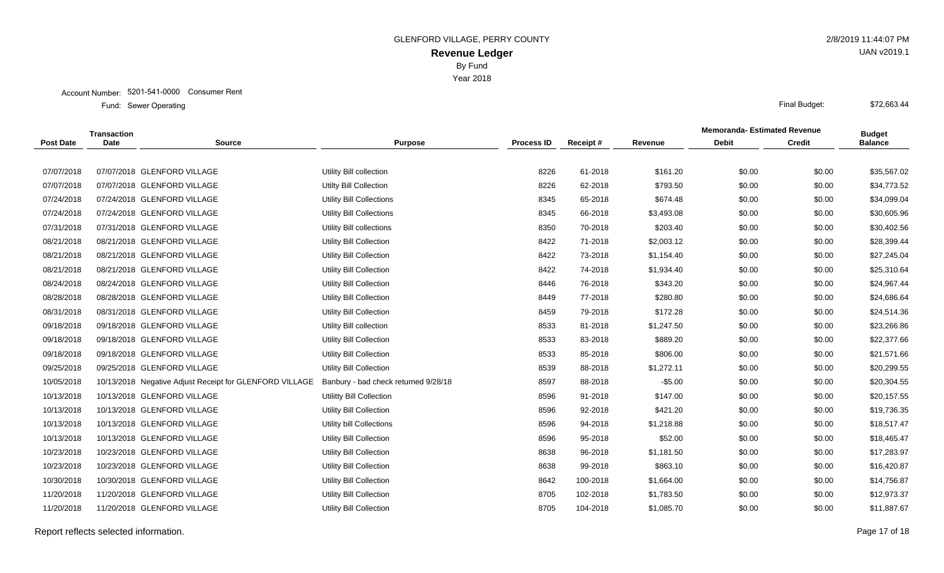Year 2018

#### Account Number: 5201-541-0000 Consumer Rent

Sewer Operating Final Budget: Fund: Sewer Operating

|                  |             | <b>Memoranda-Estimated Revenue</b><br><b>Transaction</b> |                                      |                   | <b>Budget</b> |            |              |               |                |
|------------------|-------------|----------------------------------------------------------|--------------------------------------|-------------------|---------------|------------|--------------|---------------|----------------|
| <b>Post Date</b> | <b>Date</b> | <b>Source</b>                                            | <b>Purpose</b>                       | <b>Process ID</b> | Receipt#      | Revenue    | <b>Debit</b> | <b>Credit</b> | <b>Balance</b> |
|                  |             |                                                          |                                      |                   |               |            |              |               |                |
| 07/07/2018       |             | 07/07/2018 GLENFORD VILLAGE                              | Utility Bill collection              | 8226              | 61-2018       | \$161.20   | \$0.00       | \$0.00        | \$35,567.02    |
| 07/07/2018       |             | 07/07/2018 GLENFORD VILLAGE                              | Utilty Bill Collection               | 8226              | 62-2018       | \$793.50   | \$0.00       | \$0.00        | \$34,773.52    |
| 07/24/2018       |             | 07/24/2018 GLENFORD VILLAGE                              | Utility Bill Collections             | 8345              | 65-2018       | \$674.48   | \$0.00       | \$0.00        | \$34,099.04    |
| 07/24/2018       |             | 07/24/2018 GLENFORD VILLAGE                              | Utility Bill Collections             | 8345              | 66-2018       | \$3,493.08 | \$0.00       | \$0.00        | \$30,605.96    |
| 07/31/2018       |             | 07/31/2018 GLENFORD VILLAGE                              | Utility Bill collections             | 8350              | 70-2018       | \$203.40   | \$0.00       | \$0.00        | \$30,402.56    |
| 08/21/2018       |             | 08/21/2018 GLENFORD VILLAGE                              | <b>Utility Bill Collection</b>       | 8422              | 71-2018       | \$2,003.12 | \$0.00       | \$0.00        | \$28,399.44    |
| 08/21/2018       |             | 08/21/2018 GLENFORD VILLAGE                              | <b>Utility Bill Collection</b>       | 8422              | 73-2018       | \$1,154.40 | \$0.00       | \$0.00        | \$27,245.04    |
| 08/21/2018       |             | 08/21/2018 GLENFORD VILLAGE                              | Utility Bill Collection              | 8422              | 74-2018       | \$1,934.40 | \$0.00       | \$0.00        | \$25,310.64    |
| 08/24/2018       |             | 08/24/2018 GLENFORD VILLAGE                              | <b>Utility Bill Collection</b>       | 8446              | 76-2018       | \$343.20   | \$0.00       | \$0.00        | \$24,967.44    |
| 08/28/2018       |             | 08/28/2018 GLENFORD VILLAGE                              | <b>Utility Bill Collection</b>       | 8449              | 77-2018       | \$280.80   | \$0.00       | \$0.00        | \$24,686.64    |
| 08/31/2018       |             | 08/31/2018 GLENFORD VILLAGE                              | <b>Utility Bill Collection</b>       | 8459              | 79-2018       | \$172.28   | \$0.00       | \$0.00        | \$24,514.36    |
| 09/18/2018       |             | 09/18/2018 GLENFORD VILLAGE                              | Utility Bill collection              | 8533              | 81-2018       | \$1,247.50 | \$0.00       | \$0.00        | \$23,266.86    |
| 09/18/2018       |             | 09/18/2018 GLENFORD VILLAGE                              | <b>Utility Bill Collection</b>       | 8533              | 83-2018       | \$889.20   | \$0.00       | \$0.00        | \$22,377.66    |
| 09/18/2018       |             | 09/18/2018 GLENFORD VILLAGE                              | Utility Bill Collection              | 8533              | 85-2018       | \$806.00   | \$0.00       | \$0.00        | \$21,571.66    |
| 09/25/2018       |             | 09/25/2018 GLENFORD VILLAGE                              | Utility Bill Collection              | 8539              | 88-2018       | \$1,272.11 | \$0.00       | \$0.00        | \$20,299.55    |
| 10/05/2018       |             | 10/13/2018 Negative Adjust Receipt for GLENFORD VILLAGE  | Banbury - bad check returned 9/28/18 | 8597              | 88-2018       | $-$5.00$   | \$0.00       | \$0.00        | \$20,304.55    |
| 10/13/2018       |             | 10/13/2018 GLENFORD VILLAGE                              | Utilitty Bill Collection             | 8596              | 91-2018       | \$147.00   | \$0.00       | \$0.00        | \$20,157.55    |
| 10/13/2018       |             | 10/13/2018 GLENFORD VILLAGE                              | Utility Bill Collection              | 8596              | 92-2018       | \$421.20   | \$0.00       | \$0.00        | \$19,736.35    |
| 10/13/2018       |             | 10/13/2018 GLENFORD VILLAGE                              | Utility bill Collections             | 8596              | 94-2018       | \$1,218.88 | \$0.00       | \$0.00        | \$18,517.47    |
| 10/13/2018       |             | 10/13/2018 GLENFORD VILLAGE                              | <b>Utility Bill Collection</b>       | 8596              | 95-2018       | \$52.00    | \$0.00       | \$0.00        | \$18,465.47    |
| 10/23/2018       |             | 10/23/2018 GLENFORD VILLAGE                              | <b>Utility Bill Collection</b>       | 8638              | 96-2018       | \$1,181.50 | \$0.00       | \$0.00        | \$17,283.97    |
| 10/23/2018       |             | 10/23/2018 GLENFORD VILLAGE                              | <b>Utility Bill Collection</b>       | 8638              | 99-2018       | \$863.10   | \$0.00       | \$0.00        | \$16,420.87    |
| 10/30/2018       |             | 10/30/2018 GLENFORD VILLAGE                              | <b>Utility Bill Collection</b>       | 8642              | 100-2018      | \$1,664.00 | \$0.00       | \$0.00        | \$14,756.87    |
| 11/20/2018       |             | 11/20/2018 GLENFORD VILLAGE                              | <b>Utility Bill Collection</b>       | 8705              | 102-2018      | \$1,783.50 | \$0.00       | \$0.00        | \$12,973.37    |
| 11/20/2018       |             | 11/20/2018 GLENFORD VILLAGE                              | Utility Bill Collection              | 8705              | 104-2018      | \$1,085.70 | \$0.00       | \$0.00        | \$11,887.67    |
|                  |             |                                                          |                                      |                   |               |            |              |               |                |

Report reflects selected information. Page 17 of 18

UAN v2019.1

\$72,663.44